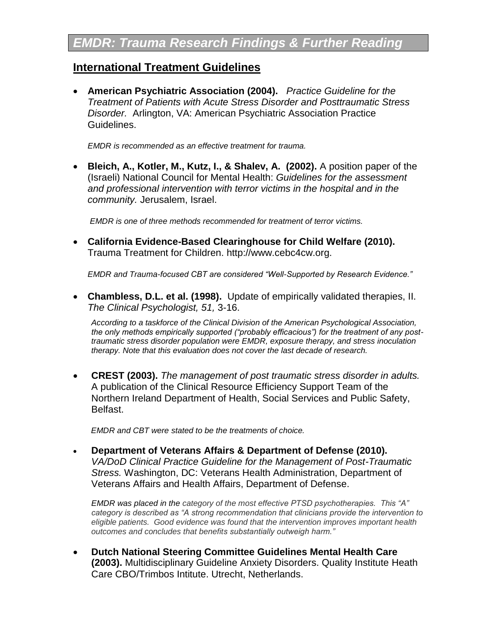# **International Treatment Guidelines**

 **American Psychiatric Association (2004).** *Practice Guideline for the Treatment of Patients with Acute Stress Disorder and Posttraumatic Stress Disorder.* Arlington, VA: American Psychiatric Association Practice Guidelines.

*EMDR is recommended as an effective treatment for trauma.*

 **Bleich, A., Kotler, M., Kutz, I., & Shalev, A. (2002).** A position paper of the (Israeli) National Council for Mental Health: *Guidelines for the assessment and professional intervention with terror victims in the hospital and in the community.* Jerusalem, Israel.

*EMDR is one of three methods recommended for treatment of terror victims.*

 **California Evidence-Based Clearinghouse for Child Welfare (2010).** Trauma Treatment for Children. http://www.cebc4cw.org.

*EMDR and Trauma-focused CBT are considered "Well-Supported by Research Evidence."*

 **Chambless, D.L. et al. (1998).** Update of empirically validated therapies, II. *The Clinical Psychologist, 51,* 3-16.

*According to a taskforce of the Clinical Division of the American Psychological Association, the only methods empirically supported ("probably efficacious") for the treatment of any posttraumatic stress disorder population were EMDR, exposure therapy, and stress inoculation therapy. Note that this evaluation does not cover the last decade of research.* 

 **CREST (2003).** *The management of post traumatic stress disorder in adults.* A publication of the Clinical Resource Efficiency Support Team of the Northern Ireland Department of Health, Social Services and Public Safety, Belfast.

 *EMDR and CBT were stated to be the treatments of choice.*

 **Department of Veterans Affairs & Department of Defense (2010).**  *VA/DoD Clinical Practice Guideline for the Management of Post-Traumatic Stress.* Washington, DC: Veterans Health Administration, Department of Veterans Affairs and Health Affairs, Department of Defense.

*EMDR was placed in the category of the most effective PTSD psychotherapies. This "A" category is described as "A strong recommendation that clinicians provide the intervention to eligible patients. Good evidence was found that the intervention improves important health outcomes and concludes that benefits substantially outweigh harm."*

 **Dutch National Steering Committee Guidelines Mental Health Care (2003).** Multidisciplinary Guideline Anxiety Disorders. Quality Institute Heath Care CBO/Trimbos Intitute. Utrecht, Netherlands.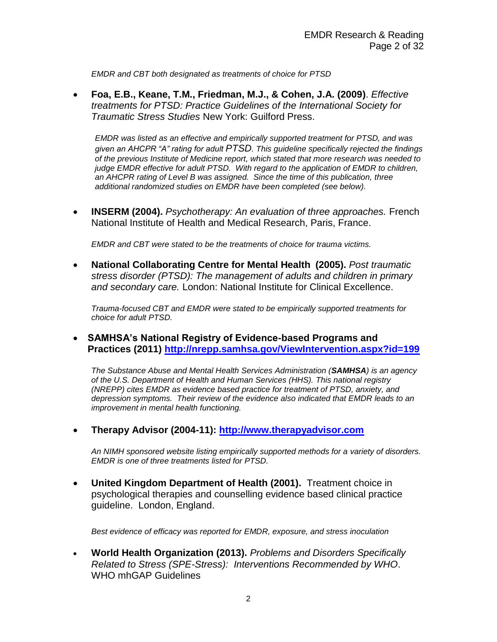*EMDR and CBT both designated as treatments of choice for PTSD*

 **Foa, E.B., Keane, T.M., Friedman, M.J., & Cohen, J.A. (2009)**. *Effective treatments for PTSD: Practice Guidelines of the International Society for Traumatic Stress Studies* New York: Guilford Press.

*EMDR was listed as an effective and empirically supported treatment for PTSD, and was given an AHCPR "A" rating for adult PTSD. This guideline specifically rejected the findings of the previous Institute of Medicine report, which stated that more research was needed to judge EMDR effective for adult PTSD. With regard to the application of EMDR to children, an AHCPR rating of Level B was assigned. Since the time of this publication, three additional randomized studies on EMDR have been completed (see below).*

 **INSERM (2004).** *Psychotherapy: An evaluation of three approaches.* French National Institute of Health and Medical Research, Paris, France.

*EMDR and CBT were stated to be the treatments of choice for trauma victims.*

 **National Collaborating Centre for Mental Health (2005).** *Post traumatic stress disorder (PTSD): The management of adults and children in primary and secondary care.* London: National Institute for Clinical Excellence.

*Trauma-focused CBT and EMDR were stated to be empirically supported treatments for choice for adult PTSD.*

 **SAMHSA's National Registry of Evidence-based Programs and Practices (2011) <http://nrepp.samhsa.gov/ViewIntervention.aspx?id=199>**

*The Substance Abuse and Mental Health Services Administration (SAMHSA) is an agency of the U.S. Department of Health and Human Services (HHS). This national registry (NREPP) cites EMDR as evidence based practice for treatment of PTSD, anxiety, and depression symptoms. Their review of the evidence also indicated that EMDR leads to an improvement in mental health functioning.*

**Therapy Advisor (2004-11): [http://www.therapyadvisor.com](http://www.therapyadvisor.com/)**

*An NIMH sponsored website listing empirically supported methods for a variety of disorders. EMDR is one of three treatments listed for PTSD.*

 **United Kingdom Department of Health (2001).** Treatment choice in psychological therapies and counselling evidence based clinical practice guideline. London, England.

*Best evidence of efficacy was reported for EMDR, exposure, and stress inoculation* 

 **World Health Organization (2013).** *Problems and Disorders Specifically Related to Stress (SPE-Stress): Interventions Recommended by WHO*. WHO mhGAP Guidelines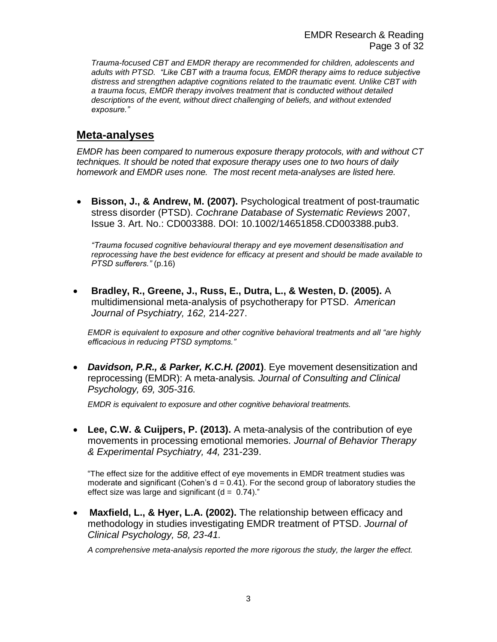*Trauma-focused CBT and EMDR therapy are recommended for children, adolescents and adults with PTSD. "Like CBT with a trauma focus, EMDR therapy aims to reduce subjective distress and strengthen adaptive cognitions related to the traumatic event. Unlike CBT with a trauma focus, EMDR therapy involves treatment that is conducted without detailed descriptions of the event, without direct challenging of beliefs, and without extended exposure."*

# **Meta-analyses**

*EMDR has been compared to numerous exposure therapy protocols, with and without CT techniques. It should be noted that exposure therapy uses one to two hours of daily homework and EMDR uses none. The most recent meta-analyses are listed here.*

 **Bisson, J., & Andrew, M. (2007).** Psychological treatment of post-traumatic stress disorder (PTSD). *Cochrane Database of Systematic Reviews* 2007, Issue 3. Art. No.: CD003388. DOI: 10.1002/14651858.CD003388.pub3.

*"Trauma focused cognitive behavioural therapy and eye movement desensitisation and reprocessing have the best evidence for efficacy at present and should be made available to PTSD sufferers."* (p.16)

 **Bradley, R., Greene, J., Russ, E., Dutra, L., & Westen, D. (2005).** A multidimensional meta-analysis of psychotherapy for PTSD. *American Journal of Psychiatry, 162,* 214-227.

*EMDR is equivalent to exposure and other cognitive behavioral treatments and all "are highly efficacious in reducing PTSD symptoms."*

 *Davidson, P.R., & Parker, K.C.H. (2001***)**. Eye movement desensitization and reprocessing (EMDR): A meta-analysis*. Journal of Consulting and Clinical Psychology, 69, 305-316.*

*EMDR is equivalent to exposure and other cognitive behavioral treatments.*

 **Lee, C.W. & Cuijpers, P. (2013).** A meta-analysis of the contribution of eye movements in processing emotional memories. *Journal of Behavior Therapy & Experimental Psychiatry, 44,* 231-239.

"The effect size for the additive effect of eye movements in EMDR treatment studies was moderate and significant (Cohen's  $d = 0.41$ ). For the second group of laboratory studies the effect size was large and significant  $(d = 0.74)$ ."

 **Maxfield, L., & Hyer, L.A. (2002).** The relationship between efficacy and methodology in studies investigating EMDR treatment of PTSD. *Journal of Clinical Psychology, 58, 23-41.*

*A comprehensive meta-analysis reported the more rigorous the study, the larger the effect.*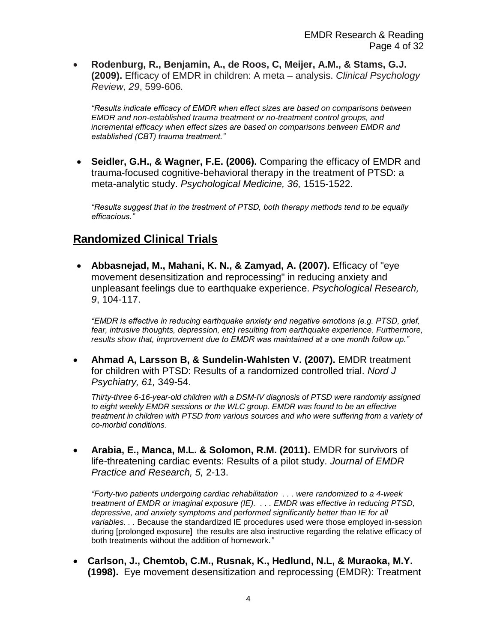**Rodenburg, R., Benjamin, A., de Roos, C, Meijer, A.M., & Stams, G.J. (2009).** Efficacy of EMDR in children: A meta – analysis. *Clinical Psychology Review, 29*, 599-606*.*

*"Results indicate efficacy of EMDR when effect sizes are based on comparisons between EMDR and non-established trauma treatment or no-treatment control groups, and incremental efficacy when effect sizes are based on comparisons between EMDR and established (CBT) trauma treatment."*

 **Seidler, G.H., & Wagner, F.E. (2006).** Comparing the efficacy of EMDR and trauma-focused cognitive-behavioral therapy in the treatment of PTSD: a meta-analytic study. *Psychological Medicine, 36,* 1515-1522.

*"Results suggest that in the treatment of PTSD, both therapy methods tend to be equally efficacious."* 

#### **Randomized Clinical Trials**

 **Abbasnejad, M., Mahani, K. N., & Zamyad, A. (2007).** Efficacy of "eye movement desensitization and reprocessing" in reducing anxiety and unpleasant feelings due to earthquake experience. *Psychological Research, 9*, 104-117.

*"EMDR is effective in reducing earthquake anxiety and negative emotions (e.g. PTSD, grief, fear, intrusive thoughts, depression, etc) resulting from earthquake experience. Furthermore, results show that, improvement due to EMDR was maintained at a one month follow up."*

 **Ahmad A, Larsson B, & Sundelin-Wahlsten V. (2007).** EMDR treatment for children with PTSD: Results of a randomized controlled trial. *Nord J Psychiatry, 61,* 349-54.

*Thirty-three 6-16-year-old children with a DSM-IV diagnosis of PTSD were randomly assigned to eight weekly EMDR sessions or the WLC group. EMDR was found to be an effective treatment in children with PTSD from various sources and who were suffering from a variety of co-morbid conditions.*

 **Arabia, E., Manca, M.L. & Solomon, R.M. (2011).** EMDR for survivors of life-threatening cardiac events: Results of a pilot study. *Journal of EMDR Practice and Research, 5,* 2-13.

*"Forty-two patients undergoing cardiac rehabilitation . . . were randomized to a 4-week treatment of EMDR or imaginal exposure (IE). . . . EMDR was effective in reducing PTSD, depressive, and anxiety symptoms and performed significantly better than IE for all variables. . .* Because the standardized IE procedures used were those employed in-session during [prolonged exposure] the results are also instructive regarding the relative efficacy of both treatments without the addition of homework.*"*

 **Carlson, J., Chemtob, C.M., Rusnak, K., Hedlund, N.L, & Muraoka, M.Y. (1998).** Eye movement desensitization and reprocessing (EMDR): Treatment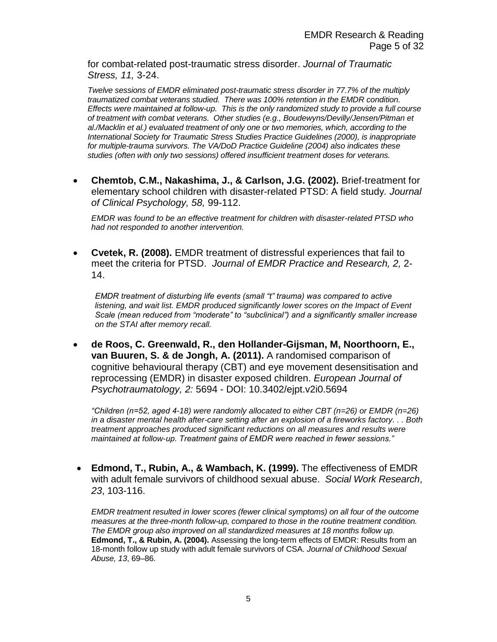for combat-related post-traumatic stress disorder. *Journal of Traumatic Stress, 11,* 3-24.

*Twelve sessions of EMDR eliminated post-traumatic stress disorder in 77.7% of the multiply traumatized combat veterans studied. There was 100% retention in the EMDR condition. Effects were maintained at follow-up. This is the only randomized study to provide a full course of treatment with combat veterans. Other studies (e.g., Boudewyns/Devilly/Jensen/Pitman et al./Macklin et al.) evaluated treatment of only one or two memories, which, according to the International Society for Traumatic Stress Studies Practice Guidelines (2000), is inappropriate for multiple-trauma survivors. The VA/DoD Practice Guideline (2004) also indicates these studies (often with only two sessions) offered insufficient treatment doses for veterans.*

 **Chemtob, C.M., Nakashima, J., & Carlson, J.G. (2002).** Brief-treatment for elementary school children with disaster-related PTSD: A field study*. Journal of Clinical Psychology, 58,* 99-112.

*EMDR was found to be an effective treatment for children with disaster-related PTSD who had not responded to another intervention.* 

 **Cvetek, R. (2008).** EMDR treatment of distressful experiences that fail to meet the criteria for PTSD. *Journal of EMDR Practice and Research, 2,* 2- 14.

*EMDR treatment of disturbing life events (small "t" trauma) was compared to active*  listening, and wait list. EMDR produced significantly lower scores on the Impact of Event *Scale (mean reduced from "moderate" to "subclinical") and a significantly smaller increase on the STAI after memory recall.*

 **de Roos, C. Greenwald, R., den Hollander-Gijsman, M, Noorthoorn, E., van Buuren, S. & de Jongh, A. (2011).** A randomised comparison of cognitive behavioural therapy (CBT) and eye movement desensitisation and reprocessing (EMDR) in disaster exposed children. *European Journal of Psychotraumatology, 2:* 5694 - DOI: 10.3402/ejpt.v2i0.5694

*"Children (n=52, aged 4-18) were randomly allocated to either CBT (n=26) or EMDR (n=26) in a disaster mental health after-care setting after an explosion of a fireworks factory. . . Both treatment approaches produced significant reductions on all measures and results were maintained at follow-up. Treatment gains of EMDR were reached in fewer sessions."* 

 **Edmond, T., Rubin, A., & Wambach, K. (1999).** The effectiveness of EMDR with adult female survivors of childhood sexual abuse. *Social Work Research*, *23*, 103-116.

*EMDR treatment resulted in lower scores (fewer clinical symptoms) on all four of the outcome measures at the three-month follow-up, compared to those in the routine treatment condition. The EMDR group also improved on all standardized measures at 18 months follow up.*  **Edmond, T., & Rubin, A. (2004).** Assessing the long-term effects of EMDR: Results from an 18-month follow up study with adult female survivors of CSA. *Journal of Childhood Sexual Abuse, 13*, 69–86.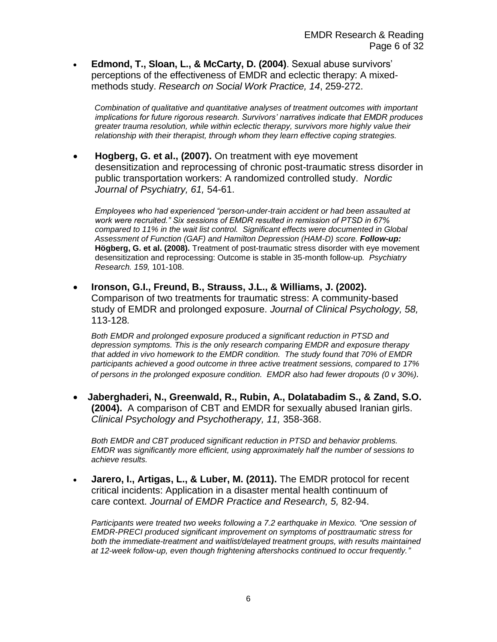**Edmond, T., Sloan, L., & McCarty, D. (2004)**. Sexual abuse survivors' perceptions of the effectiveness of EMDR and eclectic therapy: A mixedmethods study. *Research on Social Work Practice, 14*, 259-272.

 *Combination of qualitative and quantitative analyses of treatment outcomes with important implications for future rigorous research. Survivors' narratives indicate that EMDR produces greater trauma resolution, while within eclectic therapy, survivors more highly value their relationship with their therapist, through whom they learn effective coping strategies.* 

 **Hogberg, G. et al., (2007).** On treatment with eye movement desensitization and reprocessing of chronic post-traumatic stress disorder in public transportation workers: A randomized controlled study. *Nordic Journal of Psychiatry, 61,* 54-61.

*Employees who had experienced "person-under-train accident or had been assaulted at work were recruited." Six sessions of EMDR resulted in remission of PTSD in 67% compared to 11% in the wait list control. Significant effects were documented in Global Assessment of Function (GAF) and Hamilton Depression (HAM-D) score. Follow-up:* **Högberg, G. et al. (2008).** Treatment of post-traumatic stress disorder with eye movement desensitization and reprocessing: Outcome is stable in 35-month follow-up*. Psychiatry Research. 159,* 101-108.

 **Ironson, G.I., Freund, B., Strauss, J.L., & Williams, J. (2002).** Comparison of two treatments for traumatic stress: A community-based study of EMDR and prolonged exposure. *Journal of Clinical Psychology, 58,*  113-128*.*

*Both EMDR and prolonged exposure produced a significant reduction in PTSD and depression symptoms. This is the only research comparing EMDR and exposure therapy that added in vivo homework to the EMDR condition. The study found that 70% of EMDR participants achieved a good outcome in three active treatment sessions, compared to 17% of persons in the prolonged exposure condition. EMDR also had fewer dropouts (0 v 30%).* 

 **Jaberghaderi, N., Greenwald, R., Rubin, A., Dolatabadim S., & Zand, S.O. (2004).** A comparison of CBT and EMDR for sexually abused Iranian girls. *Clinical Psychology and Psychotherapy, 11,* 358-368.

*Both EMDR and CBT produced significant reduction in PTSD and behavior problems. EMDR was significantly more efficient, using approximately half the number of sessions to achieve results.*

 **Jarero, I., Artigas, L., & Luber, M. (2011).** The EMDR protocol for recent critical incidents: Application in a disaster mental health continuum of care context. *Journal of EMDR Practice and Research, 5,* 82-94.

*Participants were treated two weeks following a 7.2 earthquake in Mexico. "One session of EMDR-PRECI produced significant improvement on symptoms of posttraumatic stress for both the immediate-treatment and waitlist/delayed treatment groups, with results maintained at 12-week follow-up, even though frightening aftershocks continued to occur frequently."*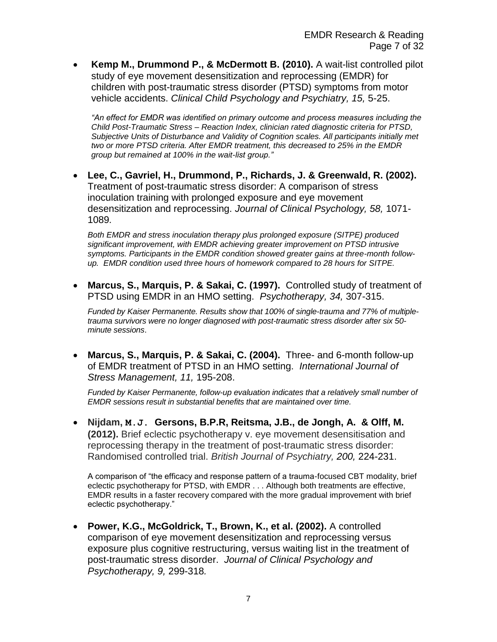**Kemp M., Drummond P., & McDermott B. (2010).** A wait-list controlled pilot study of eye movement desensitization and reprocessing (EMDR) for children with post-traumatic stress disorder (PTSD) symptoms from motor vehicle accidents. *Clinical Child Psychology and Psychiatry, 15,* 5-25.

*"An effect for EMDR was identified on primary outcome and process measures including the Child Post-Traumatic Stress – Reaction Index, clinician rated diagnostic criteria for PTSD, Subjective Units of Disturbance and Validity of Cognition scales. All participants initially met two or more PTSD criteria. After EMDR treatment, this decreased to 25% in the EMDR group but remained at 100% in the wait-list group."*

 **Lee, C., Gavriel, H., Drummond, P., Richards, J. & Greenwald, R. (2002).** Treatment of post-traumatic stress disorder: A comparison of stress inoculation training with prolonged exposure and eye movement desensitization and reprocessing. *Journal of Clinical Psychology, 58,* 1071- 1089*.*

*Both EMDR and stress inoculation therapy plus prolonged exposure (SITPE) produced significant improvement, with EMDR achieving greater improvement on PTSD intrusive symptoms. Participants in the EMDR condition showed greater gains at three-month followup. EMDR condition used three hours of homework compared to 28 hours for SITPE.* 

 **Marcus, S., Marquis, P. & Sakai, C. (1997).** Controlled study of treatment of PTSD using EMDR in an HMO setting. *Psychotherapy, 34,* 307-315.

*Funded by Kaiser Permanente. Results show that 100% of single-trauma and 77% of multipletrauma survivors were no longer diagnosed with post-traumatic stress disorder after six 50 minute sessions*.

 **Marcus, S., Marquis, P. & Sakai, C. (2004).** Three- and 6-month follow-up of EMDR treatment of PTSD in an HMO setting. *International Journal of Stress Management, 11,* 195-208.

*Funded by Kaiser Permanente, follow-up evaluation indicates that a relatively small number of EMDR sessions result in substantial benefits that are maintained over time.*

 **Nijdam, M.J. Gersons, B.P.R, Reitsma, J.B., de Jongh, A. & Olff, M. (2012).** Brief eclectic psychotherapy v. eye movement desensitisation and reprocessing therapy in the treatment of post-traumatic stress disorder: Randomised controlled trial. *British Journal of Psychiatry, 200,* 224-231.

A comparison of "the efficacy and response pattern of a trauma-focused CBT modality, brief eclectic psychotherapy for PTSD, with EMDR . . . Although both treatments are effective, EMDR results in a faster recovery compared with the more gradual improvement with brief eclectic psychotherapy."

 **Power, K.G., McGoldrick, T., Brown, K., et al. (2002).** A controlled comparison of eye movement desensitization and reprocessing versus exposure plus cognitive restructuring, versus waiting list in the treatment of post-traumatic stress disorder. *Journal of Clinical Psychology and Psychotherapy, 9,* 299-318*.*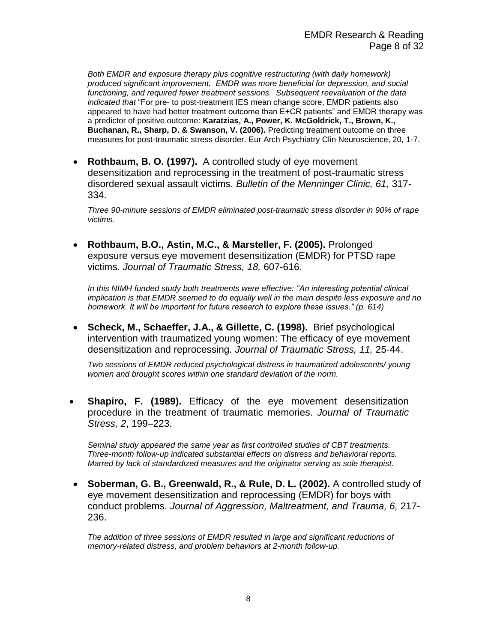*Both EMDR and exposure therapy plus cognitive restructuring (with daily homework) produced significant improvement. EMDR was more beneficial for depression, and social functioning, and required fewer treatment sessions. Subsequent reevaluation of the data indicated that* "For pre- to post-treatment IES mean change score, EMDR patients also appeared to have had better treatment outcome than E+CR patients" and EMDR therapy was a predictor of positive outcome: **Karatzias, A., Power, K. McGoldrick, T., Brown, K., Buchanan, R., Sharp, D. & Swanson, V. (2006).** Predicting treatment outcome on three measures for post-traumatic stress disorder. Eur Arch Psychiatry Clin Neuroscience, 20, 1-7.

 **Rothbaum, B. O. (1997).** A controlled study of eye movement desensitization and reprocessing in the treatment of post-traumatic stress disordered sexual assault victims. *Bulletin of the Menninger Clinic, 61,* 317- 334.

*Three 90-minute sessions of EMDR eliminated post-traumatic stress disorder in 90% of rape victims.*

 **Rothbaum, B.O., Astin, M.C., & Marsteller, F. (2005).** Prolonged exposure versus eye movement desensitization (EMDR) for PTSD rape victims. *Journal of Traumatic Stress, 18,* 607-616.

*In this NIMH funded study both treatments were effective: "An interesting potential clinical implication is that EMDR seemed to do equally well in the main despite less exposure and no homework. It will be important for future research to explore these issues." (p. 614)*

 **Scheck, M., Schaeffer, J.A., & Gillette, C. (1998).** Brief psychological intervention with traumatized young women: The efficacy of eye movement desensitization and reprocessing. *Journal of Traumatic Stress, 11,* 25-44.

*Two sessions of EMDR reduced psychological distress in traumatized adolescents/ young women and brought scores within one standard deviation of the norm.* 

 **Shapiro, F. (1989).** Efficacy of the eye movement desensitization procedure in the treatment of traumatic memories. *Journal of Traumatic Stress, 2*, 199–223.

*Seminal study appeared the same year as first controlled studies of CBT treatments. Three-month follow-up indicated substantial effects on distress and behavioral reports. Marred by lack of standardized measures and the originator serving as sole therapist.* 

 **Soberman, G. B., Greenwald, R., & Rule, D. L. (2002).** A controlled study of eye movement desensitization and reprocessing (EMDR) for boys with conduct problems. *Journal of Aggression, Maltreatment, and Trauma, 6,* 217- 236.

*The addition of three sessions of EMDR resulted in large and significant reductions of memory-related distress, and problem behaviors at 2-month follow-up.*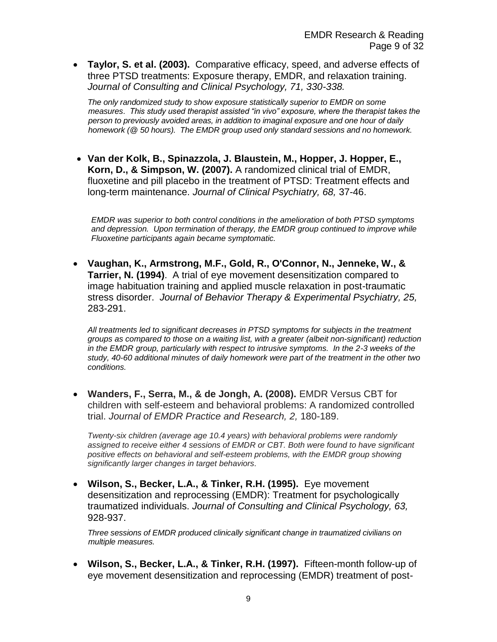**Taylor, S. et al. (2003).** Comparative efficacy, speed, and adverse effects of three PTSD treatments: Exposure therapy, EMDR, and relaxation training. *Journal of Consulting and Clinical Psychology, 71, 330-338.*

*The only randomized study to show exposure statistically superior to EMDR on some measures. This study used therapist assisted "in vivo" exposure, where the therapist takes the person to previously avoided areas, in addition to imaginal exposure and one hour of daily homework (@ 50 hours). The EMDR group used only standard sessions and no homework.* 

 **Van der Kolk, B., Spinazzola, J. Blaustein, M., Hopper, J. Hopper, E., Korn, D., & Simpson, W. (2007).** A randomized clinical trial of EMDR, fluoxetine and pill placebo in the treatment of PTSD: Treatment effects and long-term maintenance. *Journal of Clinical Psychiatry, 68,* 37-46.

*EMDR was superior to both control conditions in the amelioration of both PTSD symptoms and depression. Upon termination of therapy, the EMDR group continued to improve while Fluoxetine participants again became symptomatic.*

 **Vaughan, K., Armstrong, M.F., Gold, R., O'Connor, N., Jenneke, W., & Tarrier, N. (1994)**. A trial of eye movement desensitization compared to image habituation training and applied muscle relaxation in post-traumatic stress disorder. *Journal of Behavior Therapy & Experimental Psychiatry, 25,*  283-291.

*All treatments led to significant decreases in PTSD symptoms for subjects in the treatment groups as compared to those on a waiting list, with a greater (albeit non-significant) reduction in the EMDR group, particularly with respect to intrusive symptoms. In the 2-3 weeks of the study, 40-60 additional minutes of daily homework were part of the treatment in the other two conditions.* 

 **Wanders, F., Serra, M., & de Jongh, A. (2008).** EMDR Versus CBT for children with self-esteem and behavioral problems: A randomized controlled trial. *Journal of EMDR Practice and Research, 2,* 180-189.

*Twenty-six children (average age 10.4 years) with behavioral problems were randomly assigned to receive either 4 sessions of EMDR or CBT. Both were found to have significant positive effects on behavioral and self-esteem problems, with the EMDR group showing significantly larger changes in target behaviors.*

 **Wilson, S., Becker, L.A., & Tinker, R.H. (1995).** Eye movement desensitization and reprocessing (EMDR): Treatment for psychologically traumatized individuals. *Journal of Consulting and Clinical Psychology, 63,* 928-937.

*Three sessions of EMDR produced clinically significant change in traumatized civilians on multiple measures.*

 **Wilson, S., Becker, L.A., & Tinker, R.H. (1997).** Fifteen-month follow-up of eye movement desensitization and reprocessing (EMDR) treatment of post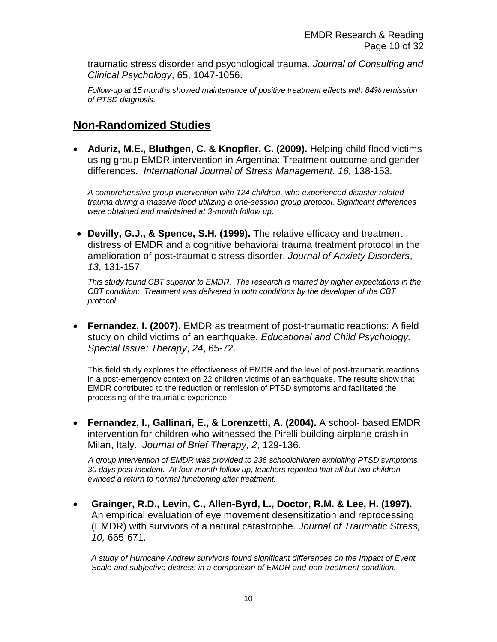traumatic stress disorder and psychological trauma. *Journal of Consulting and Clinical Psychology*, 65, 1047-1056.

*Follow-up at 15 months showed maintenance of positive treatment effects with 84% remission of PTSD diagnosis.*

#### **Non-Randomized Studies**

 **Aduriz, M.E., Bluthgen, C. & Knopfler, C. (2009).** Helping child flood victims using group EMDR intervention in Argentina: Treatment outcome and gender differences. *International Journal of Stress Management. 16,* 138-153*.*

*A comprehensive group intervention with 124 children, who experienced disaster related trauma during a massive flood utilizing a one-session group protocol. Significant differences were obtained and maintained at 3-month follow up.*

 **Devilly, G.J., & Spence, S.H. (1999).** The relative efficacy and treatment distress of EMDR and a cognitive behavioral trauma treatment protocol in the amelioration of post-traumatic stress disorder. *Journal of Anxiety Disorders*, *13*, 131-157.

*This study found CBT superior to EMDR. The research is marred by higher expectations in the CBT condition: Treatment was delivered in both conditions by the developer of the CBT protocol.*

 **Fernandez, I. (2007).** EMDR as treatment of post-traumatic reactions: A field study on child victims of an earthquake. *Educational and Child Psychology. Special Issue: Therapy*, *24*, 65-72.

This field study explores the effectiveness of EMDR and the level of post-traumatic reactions in a post-emergency context on 22 children victims of an earthquake. The results show that EMDR contributed to the reduction or remission of PTSD symptoms and facilitated the processing of the traumatic experience

 **Fernandez, I., Gallinari, E., & Lorenzetti, A. (2004).** A school- based EMDR intervention for children who witnessed the Pirelli building airplane crash in Milan, Italy. *Journal of Brief Therapy, 2*, 129-136.

 *A group intervention of EMDR was provided to 236 schoolchildren exhibiting PTSD symptoms 30 days post-incident. At four-month follow up, teachers reported that all but two children evinced a return to normal functioning after treatment.*

 **Grainger, R.D., Levin, C., Allen-Byrd, L., Doctor, R.M. & Lee, H. (1997).**  An empirical evaluation of eye movement desensitization and reprocessing (EMDR) with survivors of a natural catastrophe. *Journal of Traumatic Stress, 10,* 665-671.

*A study of Hurricane Andrew survivors found significant differences on the Impact of Event Scale and subjective distress in a comparison of EMDR and non-treatment condition.*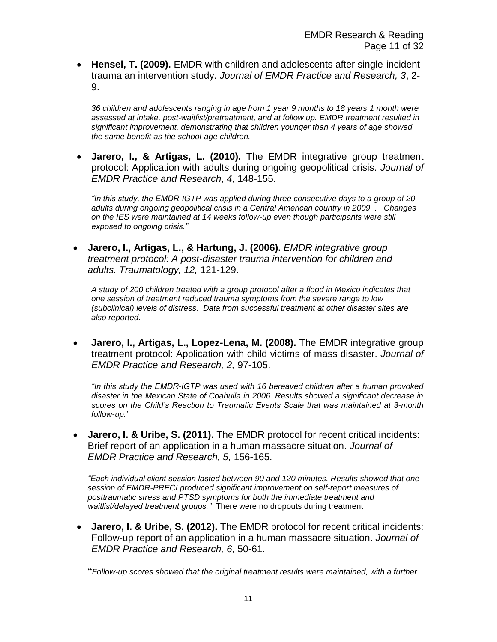**Hensel, T. (2009).** EMDR with children and adolescents after single-incident trauma an intervention study. *Journal of EMDR Practice and Research, 3*, 2- 9.

*36 children and adolescents ranging in age from 1 year 9 months to 18 years 1 month were assessed at intake, post-waitlist/pretreatment, and at follow up. EMDR treatment resulted in significant improvement, demonstrating that children younger than 4 years of age showed the same benefit as the school-age children.*

 **Jarero, I., & Artigas, L. (2010).** The EMDR integrative group treatment protocol: Application with adults during ongoing geopolitical crisis. *Journal of EMDR Practice and Research*, *4*, 148-155.

*"In this study, the EMDR-IGTP was applied during three consecutive days to a group of 20 adults during ongoing geopolitical crisis in a Central American country in 2009. . . Changes on the IES were maintained at 14 weeks follow-up even though participants were still exposed to ongoing crisis."*

 **Jarero, I., Artigas, L., & Hartung, J. (2006).** *EMDR integrative group treatment protocol: A post-disaster trauma intervention for children and adults. Traumatology, 12,* 121-129.

*A study of 200 children treated with a group protocol after a flood in Mexico indicates that one session of treatment reduced trauma symptoms from the severe range to low (subclinical) levels of distress. Data from successful treatment at other disaster sites are also reported.*

 **Jarero, I., Artigas, L., Lopez-Lena, M. (2008).** The EMDR integrative group treatment protocol: Application with child victims of mass disaster. *Journal of EMDR Practice and Research, 2,* 97-105.

*"In this study the EMDR-IGTP was used with 16 bereaved children after a human provoked disaster in the Mexican State of Coahuila in 2006. Results showed a significant decrease in scores on the Child's Reaction to Traumatic Events Scale that was maintained at 3-month follow-up."*

 **Jarero, I. & Uribe, S. (2011).** The EMDR protocol for recent critical incidents: Brief report of an application in a human massacre situation. *Journal of EMDR Practice and Research, 5,* 156-165.

*"Each individual client session lasted between 90 and 120 minutes. Results showed that one session of EMDR-PRECI produced significant improvement on self-report measures of posttraumatic stress and PTSD symptoms for both the immediate treatment and waitlist/delayed treatment groups."* There were no dropouts during treatment

 **Jarero, I. & Uribe, S. (2012).** The EMDR protocol for recent critical incidents: Follow-up report of an application in a human massacre situation. *Journal of EMDR Practice and Research, 6,* 50-61.

"*Follow-up scores showed that the original treatment results were maintained, with a further*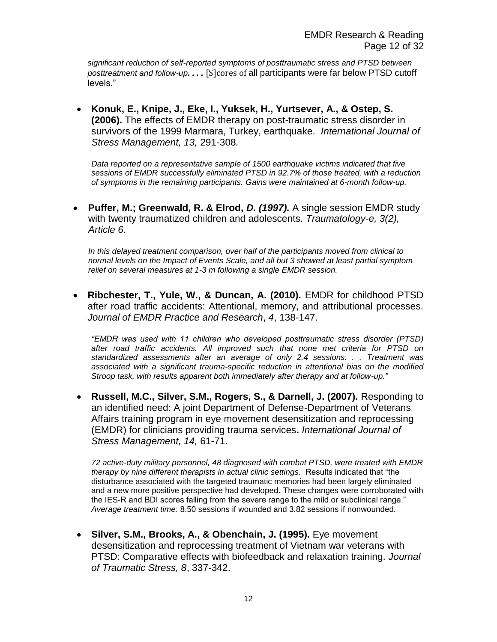*significant reduction of self-reported symptoms of posttraumatic stress and PTSD between posttreatment and follow-up. . . .* [S]cores of all participants were far below PTSD cutoff levels."

 **Konuk, E., Knipe, J., Eke, I., Yuksek, H., Yurtsever, A., & Ostep, S. (2006).** The effects of EMDR therapy on post-traumatic stress disorder in survivors of the 1999 Marmara, Turkey, earthquake. *International Journal of Stress Management, 13,* 291-308*.*

*Data reported on a representative sample of 1500 earthquake victims indicated that five sessions of EMDR successfully eliminated PTSD in 92.7% of those treated, with a reduction of symptoms in the remaining participants. Gains were maintained at 6-month follow-up.*

 **Puffer, M.; Greenwald, R. & Elrod,** *D. (1997).* A single session EMDR study with twenty traumatized children and adolescents. *Traumatology-e, 3(2), Article 6*.

*In this delayed treatment comparison, over half of the participants moved from clinical to normal levels on the Impact of Events Scale, and all but 3 showed at least partial symptom relief on several measures at 1-3 m following a single EMDR session.*

 **Ribchester, T., Yule, W., & Duncan, A. (2010).** EMDR for childhood PTSD after road traffic accidents: Attentional, memory, and attributional processes. *Journal of EMDR Practice and Research*, *4*, 138-147.

*"EMDR was used with 11 children who developed posttraumatic stress disorder (PTSD) after road traffic accidents. All improved such that none met criteria for PTSD on standardized assessments after an average of only 2.4 sessions. . . Treatment was associated with a significant trauma-specific reduction in attentional bias on the modified Stroop task, with results apparent both immediately after therapy and at follow-up."*

 **Russell, M.C., Silver, S.M., Rogers, S., & Darnell, J. (2007).** Responding to an identified need: A joint Department of Defense-Department of Veterans Affairs training program in eye movement desensitization and reprocessing (EMDR) for clinicians providing trauma services**.** *International Journal of Stress Management, 14,* 61-71.

*72 active-duty military personnel, 48 diagnosed with combat PTSD, were treated with EMDR therapy by nine different therapists in actual clinic settings.* Results indicated that "the disturbance associated with the targeted traumatic memories had been largely eliminated and a new more positive perspective had developed. These changes were corroborated with the IES-R and BDI scores falling from the severe range to the mild or subclinical range." *Average treatment time:* 8.50 sessions if wounded and 3.82 sessions if nonwounded*.*

 **Silver, S.M., Brooks, A., & Obenchain, J. (1995).** Eye movement desensitization and reprocessing treatment of Vietnam war veterans with PTSD: Comparative effects with biofeedback and relaxation training. *Journal of Traumatic Stress, 8*, 337-342.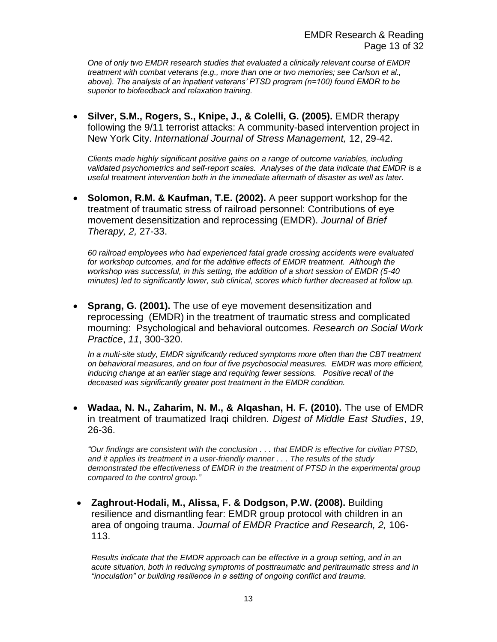*One of only two EMDR research studies that evaluated a clinically relevant course of EMDR treatment with combat veterans (e.g., more than one or two memories; see Carlson et al., above). The analysis of an inpatient veterans' PTSD program (n=100) found EMDR to be superior to biofeedback and relaxation training.*

 **Silver, S.M., Rogers, S., Knipe, J., & Colelli, G. (2005).** EMDR therapy following the 9/11 terrorist attacks: A community-based intervention project in New York City. *International Journal of Stress Management,* 12, 29-42.

*Clients made highly significant positive gains on a range of outcome variables, including validated psychometrics and self-report scales. Analyses of the data indicate that EMDR is a useful treatment intervention both in the immediate aftermath of disaster as well as later.*

 **Solomon, R.M. & Kaufman, T.E. (2002).** A peer support workshop for the treatment of traumatic stress of railroad personnel: Contributions of eye movement desensitization and reprocessing (EMDR). *Journal of Brief Therapy, 2,* 27-33.

*60 railroad employees who had experienced fatal grade crossing accidents were evaluated*  for workshop outcomes, and for the additive effects of EMDR treatment. Although the *workshop was successful, in this setting, the addition of a short session of EMDR (5-40 minutes) led to significantly lower, sub clinical, scores which further decreased at follow up.*

 **Sprang, G. (2001).** The use of eye movement desensitization and reprocessing (EMDR) in the treatment of traumatic stress and complicated mourning: Psychological and behavioral outcomes. *Research on Social Work Practice*, *11*, 300-320.

*In a multi-site study, EMDR significantly reduced symptoms more often than the CBT treatment on behavioral measures, and on four of five psychosocial measures. EMDR was more efficient, inducing change at an earlier stage and requiring fewer sessions. Positive recall of the deceased was significantly greater post treatment in the EMDR condition.*

 **Wadaa, N. N., Zaharim, N. M., & Alqashan, H. F. (2010).** The use of EMDR in treatment of traumatized Iraqi children. *Digest of Middle East Studies*, *19*, 26-36.

*"Our findings are consistent with the conclusion . . . that EMDR is effective for civilian PTSD, and it applies its treatment in a user-friendly manner . . . The results of the study demonstrated the effectiveness of EMDR in the treatment of PTSD in the experimental group compared to the control group."*

 **Zaghrout-Hodali, M., Alissa, F. & Dodgson, P.W. (2008).** Building resilience and dismantling fear: EMDR group protocol with children in an area of ongoing trauma. *Journal of EMDR Practice and Research, 2,* 106- 113.

*Results indicate that the EMDR approach can be effective in a group setting, and in an acute situation, both in reducing symptoms of posttraumatic and peritraumatic stress and in "inoculation" or building resilience in a setting of ongoing conflict and trauma.*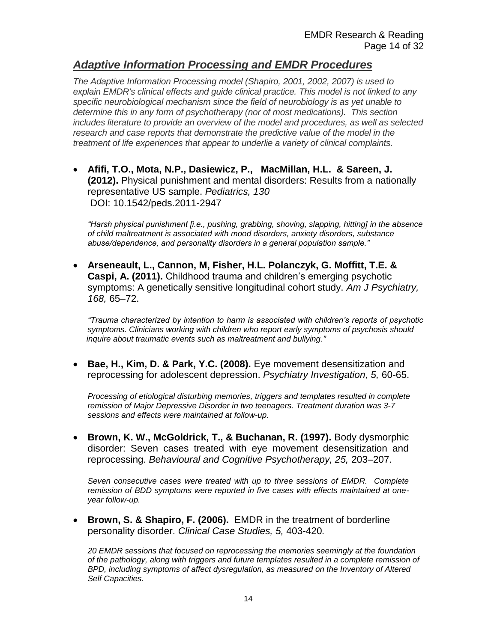#### *Adaptive Information Processing and EMDR Procedures*

*The Adaptive Information Processing model (Shapiro, 2001, 2002, 2007) is used to explain EMDR's clinical effects and guide clinical practice. This model is not linked to any specific neurobiological mechanism since the field of neurobiology is as yet unable to determine this in any form of psychotherapy (nor of most medications). This section includes literature to provide an overview of the model and procedures, as well as selected research and case reports that demonstrate the predictive value of the model in the treatment of life experiences that appear to underlie a variety of clinical complaints.*

 **Afifi, T.O., Mota, N.P., Dasiewicz, P., MacMillan, H.L. & Sareen, J. (2012).** Physical punishment and mental disorders: Results from a nationally representative US sample. *Pediatrics, 130* DOI: 10.1542/peds.2011-2947

*"Harsh physical punishment [i.e., pushing, grabbing, shoving, slapping, hitting] in the absence of child maltreatment is associated with mood disorders, anxiety disorders, substance abuse/dependence, and personality disorders in a general population sample."*

 **Arseneault, L., Cannon, M, Fisher, H.L. Polanczyk, G. Moffitt, T.E. & Caspi, A. (2011).** Childhood trauma and children's emerging psychotic symptoms: A genetically sensitive longitudinal cohort study. *Am J Psychiatry, 168,* 65–72.

*"Trauma characterized by intention to harm is associated with children's reports of psychotic symptoms. Clinicians working with children who report early symptoms of psychosis should inquire about traumatic events such as maltreatment and bullying."*

 **Bae, H., Kim, D. & Park, Y.C. (2008).** Eye movement desensitization and reprocessing for adolescent depression. *Psychiatry Investigation, 5,* 60-65.

*Processing of etiological disturbing memories, triggers and templates resulted in complete remission of Major Depressive Disorder in two teenagers. Treatment duration was 3-7 sessions and effects were maintained at follow-up.*

 **Brown, K. W., McGoldrick, T., & Buchanan, R. (1997).** Body dysmorphic disorder: Seven cases treated with eye movement desensitization and reprocessing. *Behavioural and Cognitive Psychotherapy, 25,* 203–207.

*Seven consecutive cases were treated with up to three sessions of EMDR. Complete remission of BDD symptoms were reported in five cases with effects maintained at oneyear follow-up.*

 **Brown, S. & Shapiro, F. (2006).** EMDR in the treatment of borderline personality disorder. *Clinical Case Studies, 5,* 403-420*.* 

*20 EMDR sessions that focused on reprocessing the memories seemingly at the foundation of the pathology, along with triggers and future templates resulted in a complete remission of BPD, including symptoms of affect dysregulation, as measured on the Inventory of Altered Self Capacities.*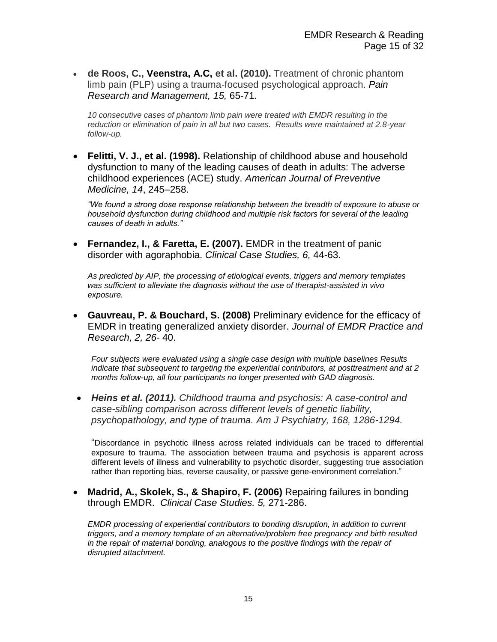**de Roos, C., Veenstra, A.C, et al. (2010).** Treatment of chronic phantom limb pain (PLP) using a trauma-focused psychological approach. *Pain Research and Management, 15,* 65-71*.*

*10 consecutive cases of phantom limb pain were treated with EMDR resulting in the reduction or elimination of pain in all but two cases. Results were maintained at 2.8-year follow-up.*

 **Felitti, V. J., et al. (1998).** Relationship of childhood abuse and household dysfunction to many of the leading causes of death in adults: The adverse childhood experiences (ACE) study. *American Journal of Preventive Medicine, 14*, 245–258.

*"We found a strong dose response relationship between the breadth of exposure to abuse or household dysfunction during childhood and multiple risk factors for several of the leading causes of death in adults."*

 **Fernandez, I., & Faretta, E. (2007).** EMDR in the treatment of panic disorder with agoraphobia. *Clinical Case Studies, 6,* 44-63.

*As predicted by AIP, the processing of etiological events, triggers and memory templates was sufficient to alleviate the diagnosis without the use of therapist-assisted in vivo exposure.*

 **Gauvreau, P. & Bouchard, S. (2008)** Preliminary evidence for the efficacy of EMDR in treating generalized anxiety disorder. *Journal of EMDR Practice and Research, 2, 26-* 40.

*Four subjects were evaluated using a single case design with multiple baselines Results indicate that subsequent to targeting the experiential contributors, at posttreatment and at 2 months follow-up, all four participants no longer presented with GAD diagnosis.*

 *Heins et al. (2011). Childhood trauma and psychosis: A case-control and case-sibling comparison across different levels of genetic liability, psychopathology, and type of trauma. Am J Psychiatry, 168, 1286-1294.*

"Discordance in psychotic illness across related individuals can be traced to differential exposure to trauma. The association between trauma and psychosis is apparent across different levels of illness and vulnerability to psychotic disorder, suggesting true association rather than reporting bias, reverse causality, or passive gene-environment correlation."

 **Madrid, A., Skolek, S., & Shapiro, F. (2006)** Repairing failures in bonding through EMDR. *Clinical Case Studies. 5,* 271-286.

*EMDR processing of experiential contributors to bonding disruption, in addition to current triggers, and a memory template of an alternative/problem free pregnancy and birth resulted in the repair of maternal bonding, analogous to the positive findings with the repair of disrupted attachment.*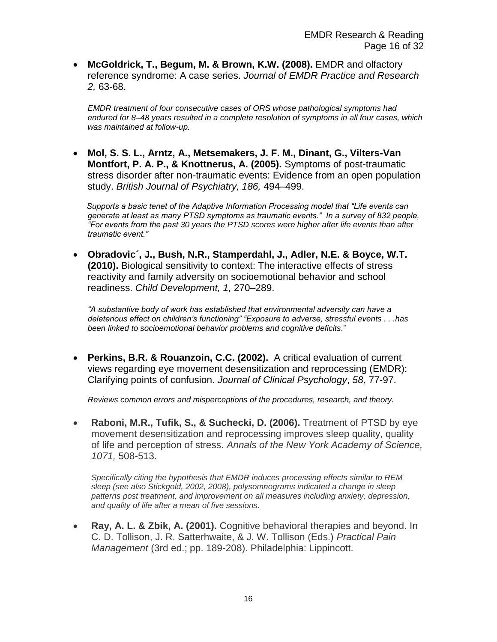**McGoldrick, T., Begum, M. & Brown, K.W. (2008).** EMDR and olfactory reference syndrome: A case series. *Journal of EMDR Practice and Research 2,* 63-68.

*EMDR treatment of four consecutive cases of ORS whose pathological symptoms had endured for 8–48 years resulted in a complete resolution of symptoms in all four cases, which was maintained at follow-up.*

 **Mol, S. S. L., Arntz, A., Metsemakers, J. F. M., Dinant, G., Vilters-Van Montfort, P. A. P., & Knottnerus, A. (2005).** Symptoms of post-traumatic stress disorder after non-traumatic events: Evidence from an open population study. *British Journal of Psychiatry, 186,* 494–499.

 *Supports a basic tenet of the Adaptive Information Processing model that "Life events can generate at least as many PTSD symptoms as traumatic events." In a survey of 832 people, "For events from the past 30 years the PTSD scores were higher after life events than after traumatic event."*

 **Obradovic´, J., Bush, N.R., Stamperdahl, J., Adler, N.E. & Boyce, W.T. (2010).** Biological sensitivity to context: The interactive effects of stress reactivity and family adversity on socioemotional behavior and school readiness. *Child Development, 1,* 270–289.

*"A substantive body of work has established that environmental adversity can have a deleterious effect on children's functioning" "Exposure to adverse, stressful events . . .has been linked to socioemotional behavior problems and cognitive deficits.*"

 **Perkins, B.R. & Rouanzoin, C.C. (2002).** A critical evaluation of current views regarding eye movement desensitization and reprocessing (EMDR): Clarifying points of confusion. *Journal of Clinical Psychology*, *58*, 77-97.

*Reviews common errors and misperceptions of the procedures, research, and theory.*

 **Raboni, M.R., Tufik, S., & Suchecki, D. (2006).** Treatment of PTSD by eye movement desensitization and reprocessing improves sleep quality, quality of life and perception of stress. *Annals of the New York Academy of Science, 1071,* 508-513.

*Specifically citing the hypothesis that EMDR induces processing effects similar to REM sleep (see also Stickgold, 2002, 2008), polysomnograms indicated a change in sleep patterns post treatment, and improvement on all measures including anxiety, depression, and quality of life after a mean of five sessions.* 

 **Ray, A. L. & Zbik, A. (2001).** Cognitive behavioral therapies and beyond. In C. D. Tollison, J. R. Satterhwaite, & J. W. Tollison (Eds.) *Practical Pain Management* (3rd ed.; pp. 189-208). Philadelphia: Lippincott.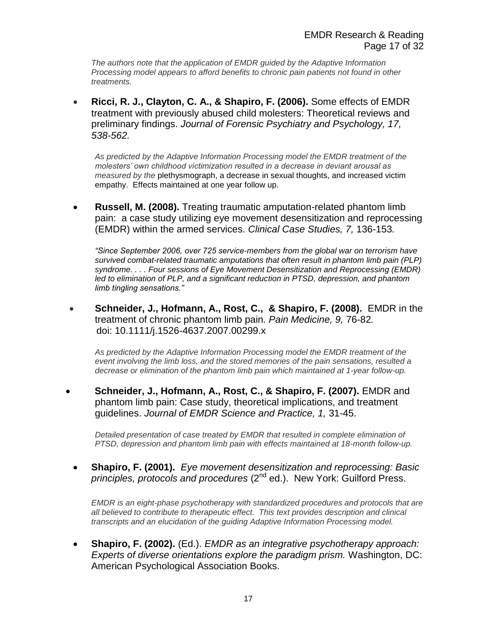*The authors note that the application of EMDR guided by the Adaptive Information Processing model appears to afford benefits to chronic pain patients not found in other treatments.*

 **Ricci, R. J., Clayton, C. A., & Shapiro, F. (2006).** Some effects of EMDR treatment with previously abused child molesters: Theoretical reviews and preliminary findings. *Journal of Forensic Psychiatry and Psychology, 17, 538-562.*

*As predicted by the Adaptive Information Processing model the EMDR treatment of the molesters' own childhood victimization resulted in a decrease in deviant arousal as measured by the* plethysmograph, a decrease in sexual thoughts, and increased victim empathy. Effects maintained at one year follow up.

 **Russell, M. (2008).** Treating traumatic amputation-related phantom limb pain: a case study utilizing eye movement desensitization and reprocessing (EMDR) within the armed services. *Clinical Case Studies, 7,* 136-153*.*

*"Since September 2006, over 725 service-members from the global war on terrorism have survived combat-related traumatic amputations that often result in phantom limb pain (PLP) syndrome. . . . Four sessions of Eye Movement Desensitization and Reprocessing (EMDR) led to elimination of PLP, and a significant reduction in PTSD, depression, and phantom limb tingling sensations."*

 **Schneider, J., Hofmann, A., Rost, C., & Shapiro, F. (2008).** EMDR in the treatment of chronic phantom limb pain*. Pain Medicine, 9,* 76-82*.*  doi: 10.1111/j.1526-4637.2007.00299.x

*As predicted by the Adaptive Information Processing model the EMDR treatment of the event involving the limb loss, and the stored memories of the pain sensations, resulted a decrease or elimination of the phantom limb pain which maintained at 1-year follow-up.*

 **Schneider, J., Hofmann, A., Rost, C., & Shapiro, F. (2007).** EMDR and phantom limb pain: Case study, theoretical implications, and treatment guidelines. *Journal of EMDR Science and Practice, 1,* 31-45.

*Detailed presentation of case treated by EMDR that resulted in complete elimination of PTSD, depression and phantom limb pain with effects maintained at 18-month follow-up.*

 **Shapiro, F. (2001).** *Eye movement desensitization and reprocessing: Basic principles, protocols and procedures* (2nd ed.). New York: Guilford Press.

*EMDR is an eight-phase psychotherapy with standardized procedures and protocols that are all believed to contribute to therapeutic effect. This text provides description and clinical transcripts and an elucidation of the guiding Adaptive Information Processing model.*

 **Shapiro, F. (2002).** (Ed.). *EMDR as an integrative psychotherapy approach: Experts of diverse orientations explore the paradigm prism.* Washington, DC: American Psychological Association Books.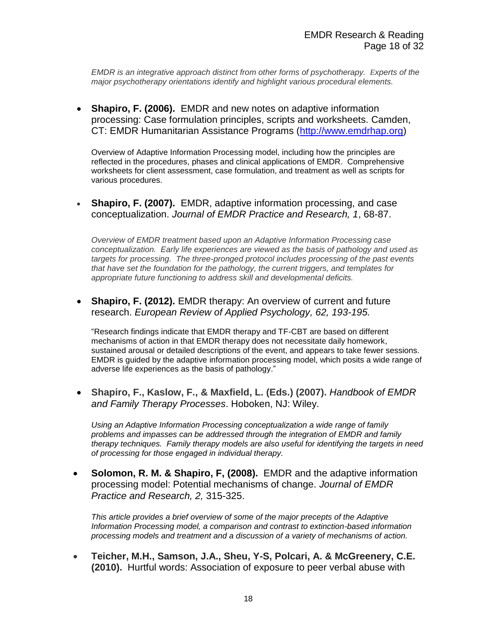*EMDR is an integrative approach distinct from other forms of psychotherapy. Experts of the major psychotherapy orientations identify and highlight various procedural elements.*

 **Shapiro, F. (2006).** EMDR and new notes on adaptive information processing: Case formulation principles, scripts and worksheets. Camden, CT: EMDR Humanitarian Assistance Programs [\(http://www.emdrhap.org\)](http://www.emdrhap.org/)

Overview of Adaptive Information Processing model, including how the principles are reflected in the procedures, phases and clinical applications of EMDR. Comprehensive worksheets for client assessment, case formulation, and treatment as well as scripts for various procedures.

 **Shapiro, F. (2007).** EMDR, adaptive information processing, and case conceptualization. *Journal of EMDR Practice and Research, 1*, 68-87.

*Overview of EMDR treatment based upon an Adaptive Information Processing case conceptualization. Early life experiences are viewed as the basis of pathology and used as targets for processing. The three-pronged protocol includes processing of the past events that have set the foundation for the pathology, the current triggers, and templates for appropriate future functioning to address skill and developmental deficits.*

 **Shapiro, F. (2012).** EMDR therapy: An overview of current and future research. *European Review of Applied Psychology, 62, 193-195.*

"Research findings indicate that EMDR therapy and TF-CBT are based on different mechanisms of action in that EMDR therapy does not necessitate daily homework, sustained arousal or detailed descriptions of the event, and appears to take fewer sessions. EMDR is guided by the adaptive information processing model, which posits a wide range of adverse life experiences as the basis of pathology."

 **Shapiro, F., Kaslow, F., & Maxfield, L. (Eds.) (2007).** *Handbook of EMDR and Family Therapy Processes*. Hoboken, NJ: Wiley.

*Using an Adaptive Information Processing conceptualization a wide range of family problems and impasses can be addressed through the integration of EMDR and family therapy techniques. Family therapy models are also useful for identifying the targets in need of processing for those engaged in individual therapy.*

 **Solomon, R. M. & Shapiro, F, (2008).** EMDR and the adaptive information processing model: Potential mechanisms of change. *Journal of EMDR Practice and Research, 2,* 315-325.

*This article provides a brief overview of some of the major precepts of the Adaptive Information Processing model, a comparison and contrast to extinction-based information processing models and treatment and a discussion of a variety of mechanisms of action.*

 **Teicher, M.H., Samson, J.A., Sheu, Y-S, Polcari, A. & McGreenery, C.E. (2010).** Hurtful words: Association of exposure to peer verbal abuse with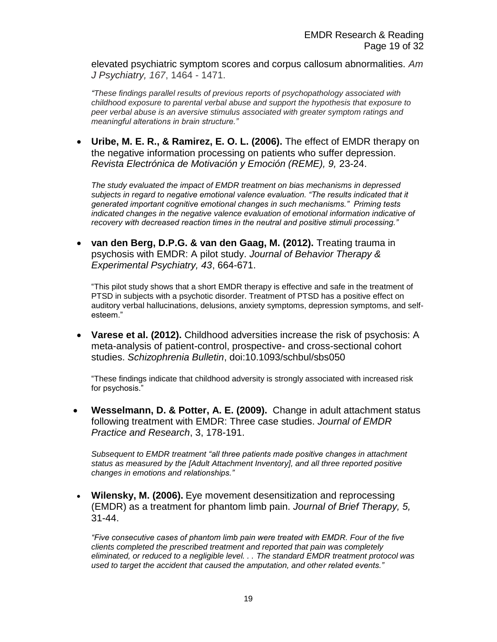elevated psychiatric symptom scores and corpus callosum abnormalities. *Am J Psychiatry, 167*, 1464 - 1471.

*"These findings parallel results of previous reports of psychopathology associated with childhood exposure to parental verbal abuse and support the hypothesis that exposure to peer verbal abuse is an aversive stimulus associated with greater symptom ratings and meaningful alterations in brain structure."*

 **Uribe, M. E. R., & Ramirez, E. O. L. (2006).** The effect of EMDR therapy on the negative information processing on patients who suffer depression. *Revista Electrónica de Motivación y Emoción (REME), 9,* 23-24.

*The study evaluated the impact of EMDR treatment on bias mechanisms in depressed subjects in regard to negative emotional valence evaluation. "The results indicated that it generated important cognitive emotional changes in such mechanisms." Priming tests indicated changes in the negative valence evaluation of emotional information indicative of recovery with decreased reaction times in the neutral and positive stimuli processing."*

 **van den Berg, D.P.G. & van den Gaag, M. (2012).** Treating trauma in psychosis with EMDR: A pilot study. *Journal of Behavior Therapy & Experimental Psychiatry, 43*, 664-671.

"This pilot study shows that a short EMDR therapy is effective and safe in the treatment of PTSD in subjects with a psychotic disorder. Treatment of PTSD has a positive effect on auditory verbal hallucinations, delusions, anxiety symptoms, depression symptoms, and selfesteem."

 **Varese et al. (2012).** Childhood adversities increase the risk of psychosis: A meta-analysis of patient-control, prospective- and cross-sectional cohort studies. *Schizophrenia Bulletin*, doi:10.1093/schbul/sbs050

"These findings indicate that childhood adversity is strongly associated with increased risk for psychosis."

 **Wesselmann, D. & Potter, A. E. (2009).** Change in adult attachment status following treatment with EMDR: Three case studies. *[Journal of EMDR](http://www.ingentaconnect.com/content/springer/emdr)  [Practice and Research](http://www.ingentaconnect.com/content/springer/emdr)*, 3, 178-191.

*Subsequent to EMDR treatment "all three patients made positive changes in attachment status as measured by the [Adult Attachment Inventory], and all three reported positive changes in emotions and relationships."*

 **Wilensky, M. (2006).** Eye movement desensitization and reprocessing (EMDR) as a treatment for phantom limb pain. *Journal of Brief Therapy, 5,* 31-44.

*"Five consecutive cases of phantom limb pain were treated with EMDR. Four of the five clients completed the prescribed treatment and reported that pain was completely eliminated, or reduced to a negligible level. . . The standard EMDR treatment protocol was used to target the accident that caused the amputation, and other related events."*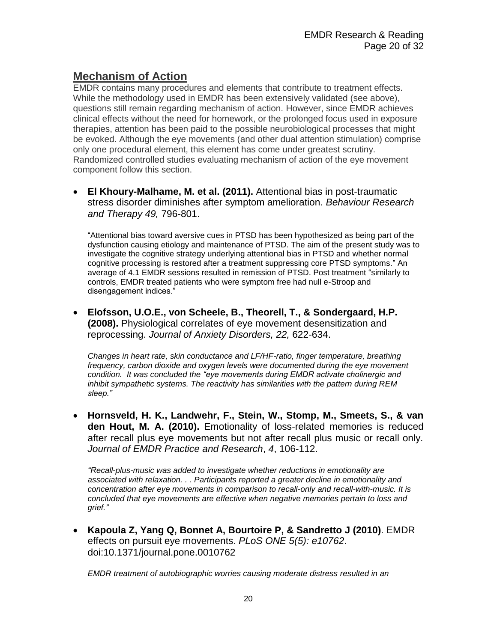# **Mechanism of Action**

EMDR contains many procedures and elements that contribute to treatment effects. While the methodology used in EMDR has been extensively validated (see above), questions still remain regarding mechanism of action. However, since EMDR achieves clinical effects without the need for homework, or the prolonged focus used in exposure therapies, attention has been paid to the possible neurobiological processes that might be evoked. Although the eye movements (and other dual attention stimulation) comprise only one procedural element, this element has come under greatest scrutiny. Randomized controlled studies evaluating mechanism of action of the eye movement component follow this section.

 **El Khoury-Malhame, M. et al. (2011).** Attentional bias in post-traumatic stress disorder diminishes after symptom amelioration. *Behaviour Research and Therapy 49,* 796-801.

"Attentional bias toward aversive cues in PTSD has been hypothesized as being part of the dysfunction causing etiology and maintenance of PTSD. The aim of the present study was to investigate the cognitive strategy underlying attentional bias in PTSD and whether normal cognitive processing is restored after a treatment suppressing core PTSD symptoms." An average of 4.1 EMDR sessions resulted in remission of PTSD. Post treatment "similarly to controls, EMDR treated patients who were symptom free had null e-Stroop and disengagement indices."

 **Elofsson, U.O.E., von Scheele, B., Theorell, T., & Sondergaard, H.P. (2008).** Physiological correlates of eye movement desensitization and reprocessing. *Journal of Anxiety Disorders, 22,* 622-634.

*Changes in heart rate, skin conductance and LF/HF-ratio, finger temperature, breathing frequency, carbon dioxide and oxygen levels were documented during the eye movement condition. It was concluded the "eye movements during EMDR activate cholinergic and inhibit sympathetic systems. The reactivity has similarities with the pattern during REM sleep."*

 **Hornsveld, H. K., Landwehr, F., Stein, W., Stomp, M., Smeets, S., & van den Hout, M. A. (2010).** Emotionality of loss-related memories is reduced after recall plus eye movements but not after recall plus music or recall only. *Journal of EMDR Practice and Research*, *4*, 106-112.

*"Recall-plus-music was added to investigate whether reductions in emotionality are associated with relaxation. . . Participants reported a greater decline in emotionality and concentration after eye movements in comparison to recall-only and recall-with-music. It is concluded that eye movements are effective when negative memories pertain to loss and grief."*

 **Kapoula Z, Yang Q, Bonnet A, Bourtoire P, & Sandretto J (2010)**. EMDR effects on pursuit eye movements. *PLoS ONE 5(5): e10762*. doi:10.1371/journal.pone.0010762

*EMDR treatment of autobiographic worries causing moderate distress resulted in an*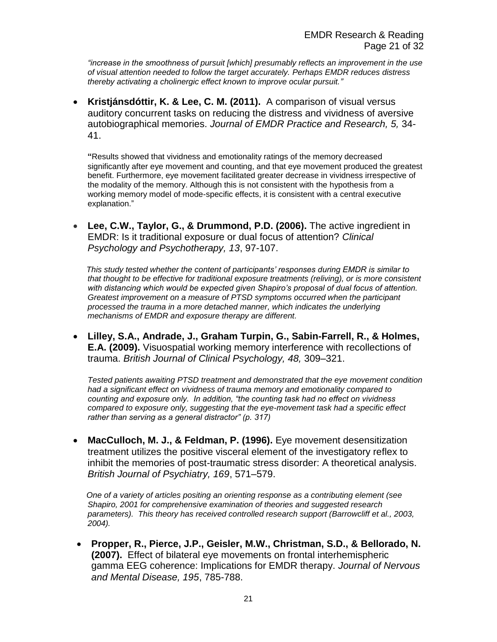*"increase in the smoothness of pursuit [which] presumably reflects an improvement in the use of visual attention needed to follow the target accurately. Perhaps EMDR reduces distress thereby activating a cholinergic effect known to improve ocular pursuit."*

 **Kristjánsdóttir, K. & Lee, C. M. (2011).** A comparison of visual versus auditory concurrent tasks on reducing the distress and vividness of aversive autobiographical memories. *Journal of EMDR Practice and Research, 5,* 34- 41.

**"**Results showed that vividness and emotionality ratings of the memory decreased significantly after eye movement and counting, and that eye movement produced the greatest benefit. Furthermore, eye movement facilitated greater decrease in vividness irrespective of the modality of the memory. Although this is not consistent with the hypothesis from a working memory model of mode-specific effects, it is consistent with a central executive explanation."

 **Lee, C.W., Taylor, G., & Drummond, P.D. (2006).** The active ingredient in EMDR: Is it traditional exposure or dual focus of attention? *Clinical Psychology and Psychotherapy, 13*, 97-107.

 *This study tested whether the content of participants' responses during EMDR is similar to that thought to be effective for traditional exposure treatments (reliving), or is more consistent with distancing which would be expected given Shapiro's proposal of dual focus of attention. Greatest improvement on a measure of PTSD symptoms occurred when the participant processed the trauma in a more detached manner, which indicates the underlying mechanisms of EMDR and exposure therapy are different.*

 **Lilley, S.A., Andrade, J., Graham Turpin, G., Sabin-Farrell, R., & Holmes, E.A. (2009).** Visuospatial working memory interference with recollections of trauma. *British Journal of Clinical Psychology, 48,* 309–321.

*Tested patients awaiting PTSD treatment and demonstrated that the eye movement condition had a significant effect on vividness of trauma memory and emotionality compared to counting and exposure only. In addition, "the counting task had no effect on vividness compared to exposure only, suggesting that the eye-movement task had a specific effect rather than serving as a general distractor" (p. 317)*

 **MacCulloch, M. J., & Feldman, P. (1996).** Eye movement desensitization treatment utilizes the positive visceral element of the investigatory reflex to inhibit the memories of post-traumatic stress disorder: A theoretical analysis. *British Journal of Psychiatry, 169*, 571–579.

 *One of a variety of articles positing an orienting response as a contributing element (see Shapiro, 2001 for comprehensive examination of theories and suggested research parameters). This theory has received controlled research support (Barrowcliff et al., 2003, 2004).*

 **Propper, R., Pierce, J.P., Geisler, M.W., Christman, S.D., & Bellorado, N. (2007).** Effect of bilateral eye movements on frontal interhemispheric gamma EEG coherence: Implications for EMDR therapy. *Journal of Nervous and Mental Disease, 195*, 785-788.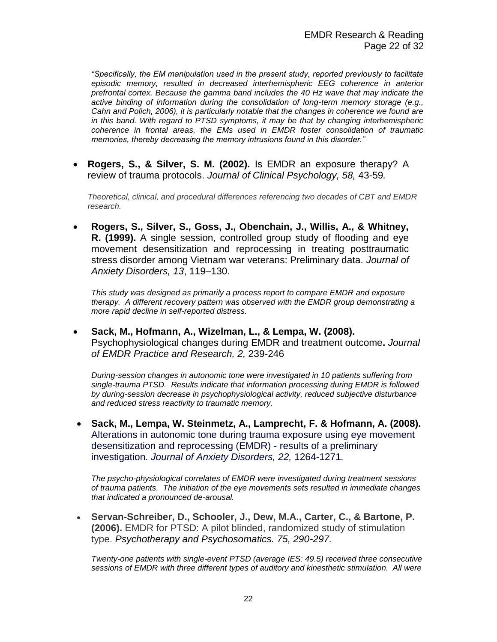*"Specifically, the EM manipulation used in the present study, reported previously to facilitate episodic memory, resulted in decreased interhemispheric EEG coherence in anterior prefrontal cortex. Because the gamma band includes the 40 Hz wave that may indicate the active binding of information during the consolidation of long-term memory storage (e.g., Cahn and Polich, 2006), it is particularly notable that the changes in coherence we found are in this band. With regard to PTSD symptoms, it may be that by changing interhemispheric coherence in frontal areas, the EMs used in EMDR foster consolidation of traumatic memories, thereby decreasing the memory intrusions found in this disorder."*

 **Rogers, S., & Silver, S. M. (2002).** Is EMDR an exposure therapy? A review of trauma protocols. *Journal of Clinical Psychology, 58,* 43-59*.*

*Theoretical, clinical, and procedural differences referencing two decades of CBT and EMDR research.*

 **Rogers, S., Silver, S., Goss, J., Obenchain, J., Willis, A., & Whitney, R. (1999).** A single session, controlled group study of flooding and eye movement desensitization and reprocessing in treating posttraumatic stress disorder among Vietnam war veterans: Preliminary data. *Journal of Anxiety Disorders, 13*, 119–130.

*This study was designed as primarily a process report to compare EMDR and exposure therapy. A different recovery pattern was observed with the EMDR group demonstrating a more rapid decline in self-reported distress.*

 **Sack, M., Hofmann, A., Wizelman, L., & Lempa, W. (2008).** Psychophysiological changes during EMDR and treatment outcome**.** *Journal of EMDR Practice and Research, 2,* 239-246

*During-session changes in autonomic tone were investigated in 10 patients suffering from single-trauma PTSD. Results indicate that information processing during EMDR is followed by during-session decrease in psychophysiological activity, reduced subjective disturbance and reduced stress reactivity to traumatic memory.*

 **Sack, M., Lempa, W. Steinmetz, A., Lamprecht, F. & Hofmann, A. (2008).**  Alterations in autonomic tone during trauma exposure using eye movement desensitization and reprocessing (EMDR) - results of a preliminary investigation. *Journal of Anxiety Disorders, 22,* 1264-1271*.*

*The psycho-physiological correlates of EMDR were investigated during treatment sessions of trauma patients. The initiation of the eye movements sets resulted in immediate changes that indicated a pronounced de-arousal.* 

 **Servan-Schreiber, D., Schooler, J., Dew, M.A., Carter, C., & Bartone, P. (2006).** EMDR for PTSD: A pilot blinded, randomized study of stimulation type. *Psychotherapy and Psychosomatics. 75, 290-297.*

*Twenty-one patients with single-event PTSD (average IES: 49.5) received three consecutive sessions of EMDR with three different types of auditory and kinesthetic stimulation. All were*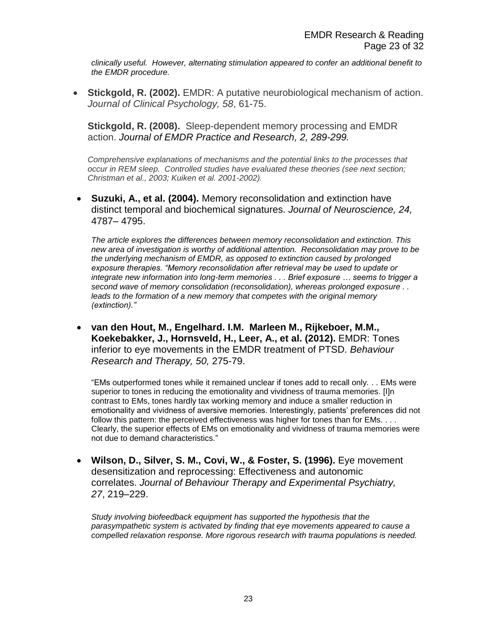*clinically useful. However, alternating stimulation appeared to confer an additional benefit to the EMDR procedure.*

 **Stickgold, R. (2002).** EMDR: A putative neurobiological mechanism of action. *Journal of Clinical Psychology, 58*, 61-75.

**Stickgold, R. (2008).** Sleep-dependent memory processing and EMDR action. *Journal of EMDR Practice and Research, 2, 289-299.*

*Comprehensive explanations of mechanisms and the potential links to the processes that occur in REM sleep. Controlled studies have evaluated these theories (see next section; Christman et al., 2003; Kuiken et al. 2001-2002).*

 **Suzuki, A., et al. (2004).** Memory reconsolidation and extinction have distinct temporal and biochemical signatures. *Journal of Neuroscience, 24,* 4787– 4795.

*The article explores the differences between memory reconsolidation and extinction. This new area of investigation is worthy of additional attention. Reconsolidation may prove to be the underlying mechanism of EMDR, as opposed to extinction caused by prolonged exposure therapies. "Memory reconsolidation after retrieval may be used to update or integrate new information into long-term memories . . . Brief exposure … seems to trigger a second wave of memory consolidation (reconsolidation), whereas prolonged exposure . . leads to the formation of a new memory that competes with the original memory (extinction)."*

 **van den Hout, M., Engelhard. I.M. Marleen M., Rijkeboer, M.M., Koekebakker, J., Hornsveld, H., Leer, A., et al. (2012).** EMDR: Tones inferior to eye movements in the EMDR treatment of PTSD. *Behaviour Research and Therapy, 50,* 275-79.

"EMs outperformed tones while it remained unclear if tones add to recall only. . . EMs were superior to tones in reducing the emotionality and vividness of trauma memories. [I]n contrast to EMs, tones hardly tax working memory and induce a smaller reduction in emotionality and vividness of aversive memories. Interestingly, patients' preferences did not follow this pattern: the perceived effectiveness was higher for tones than for EMs. . . . Clearly, the superior effects of EMs on emotionality and vividness of trauma memories were not due to demand characteristics."

 **Wilson, D., Silver, S. M., Covi, W., & Foster, S. (1996).** Eye movement desensitization and reprocessing: Effectiveness and autonomic correlates. *Journal of Behaviour Therapy and Experimental Psychiatry, 27*, 219–229.

*Study involving biofeedback equipment has supported the hypothesis that the parasympathetic system is activated by finding that eye movements appeared to cause a compelled relaxation response. More rigorous research with trauma populations is needed.*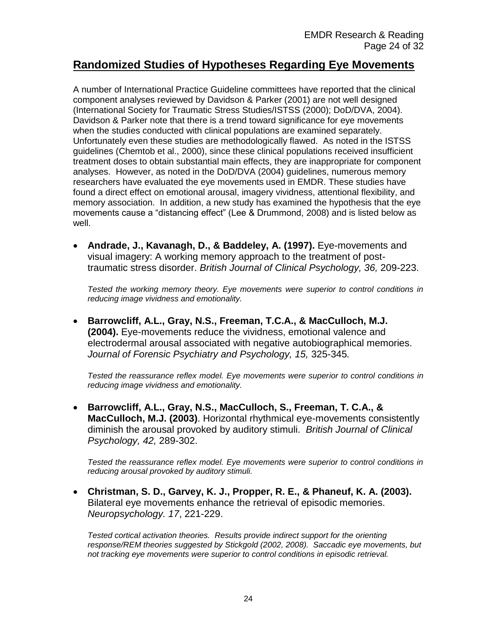#### **Randomized Studies of Hypotheses Regarding Eye Movements**

A number of International Practice Guideline committees have reported that the clinical component analyses reviewed by Davidson & Parker (2001) are not well designed (International Society for Traumatic Stress Studies/ISTSS (2000); DoD/DVA, 2004). Davidson & Parker note that there is a trend toward significance for eye movements when the studies conducted with clinical populations are examined separately. Unfortunately even these studies are methodologically flawed. As noted in the ISTSS guidelines (Chemtob et al., 2000), since these clinical populations received insufficient treatment doses to obtain substantial main effects, they are inappropriate for component analyses. However, as noted in the DoD/DVA (2004) guidelines, numerous memory researchers have evaluated the eye movements used in EMDR. These studies have found a direct effect on emotional arousal, imagery vividness, attentional flexibility, and memory association. In addition, a new study has examined the hypothesis that the eye movements cause a "distancing effect" (Lee & Drummond, 2008) and is listed below as well.

 **Andrade, J., Kavanagh, D., & Baddeley, A. (1997).** Eye-movements and visual imagery: A working memory approach to the treatment of posttraumatic stress disorder. *British Journal of Clinical Psychology, 36,* 209-223.

*Tested the working memory theory. Eye movements were superior to control conditions in reducing image vividness and emotionality.*

 **Barrowcliff, A.L., Gray, N.S., Freeman, T.C.A., & MacCulloch, M.J. (2004).** Eye-movements reduce the vividness, emotional valence and electrodermal arousal associated with negative autobiographical memories. *Journal of Forensic Psychiatry and Psychology, 15,* 325-345*.* 

*Tested the reassurance reflex model. Eye movements were superior to control conditions in reducing image vividness and emotionality.* 

 **Barrowcliff, A.L., Gray, N.S., MacCulloch, S., Freeman, T. C.A., & MacCulloch, M.J. (2003)**. Horizontal rhythmical eye-movements consistently diminish the arousal provoked by auditory stimuli. *British Journal of Clinical Psychology, 42,* 289-302.

*Tested the reassurance reflex model. Eye movements were superior to control conditions in reducing arousal provoked by auditory stimuli.* 

 **Christman, S. D., Garvey, K. J., Propper, R. E., & Phaneuf, K. A. (2003).** Bilateral eye movements enhance the retrieval of episodic memories. *Neuropsychology. 17*, 221-229.

*Tested cortical activation theories. Results provide indirect support for the orienting response/REM theories suggested by Stickgold (2002, 2008). Saccadic eye movements, but not tracking eye movements were superior to control conditions in episodic retrieval.*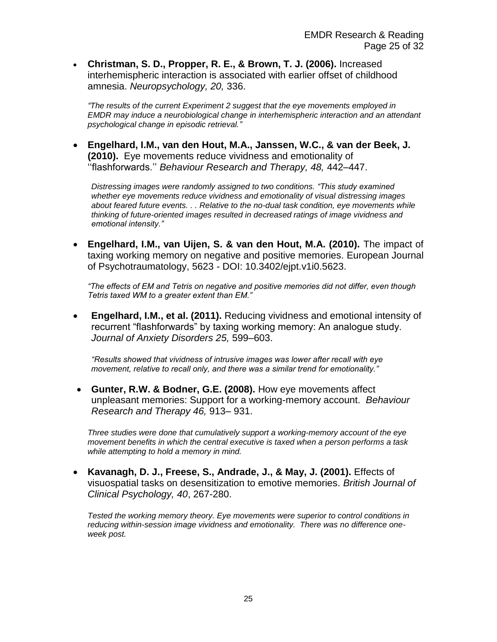**Christman, S. D., Propper, R. E., & Brown, T. J. (2006).** Increased interhemispheric interaction is associated with earlier offset of childhood amnesia. *Neuropsychology, 20,* 336.

*"The results of the current Experiment 2 suggest that the eye movements employed in EMDR may induce a neurobiological change in interhemispheric interaction and an attendant psychological change in episodic retrieval."*

 **Engelhard, I.M., van den Hout, M.A., Janssen, W.C., & van der Beek, J. (2010).** Eye movements reduce vividness and emotionality of ''flashforwards.'' *Behaviour Research and Therapy, 48,* 442–447.

*Distressing images were randomly assigned to two conditions. "This study examined whether eye movements reduce vividness and emotionality of visual distressing images about feared future events. . . Relative to the no-dual task condition, eye movements while thinking of future-oriented images resulted in decreased ratings of image vividness and emotional intensity."*

 **Engelhard, I.M., van Uijen, S. & van den Hout, M.A. (2010).** The impact of taxing working memory on negative and positive memories. European Journal of Psychotraumatology, 5623 - DOI: 10.3402/ejpt.v1i0.5623.

*"The effects of EM and Tetris on negative and positive memories did not differ, even though Tetris taxed WM to a greater extent than EM."*

 **Engelhard, I.M., et al. (2011).** Reducing vividness and emotional intensity of recurrent "flashforwards" by taxing working memory: An analogue study. *Journal of Anxiety Disorders 25,* 599–603.

*"Results showed that vividness of intrusive images was lower after recall with eye movement, relative to recall only, and there was a similar trend for emotionality."*

 **Gunter, R.W. & Bodner, G.E. (2008).** How eye movements affect unpleasant memories: Support for a working-memory account. *Behaviour Research and Therapy 46,* 913– 931.

*Three studies were done that cumulatively support a working-memory account of the eye movement benefits in which the central executive is taxed when a person performs a task while attempting to hold a memory in mind.*

 **Kavanagh, D. J., Freese, S., Andrade, J., & May, J. (2001).** Effects of visuospatial tasks on desensitization to emotive memories. *British Journal of Clinical Psychology, 40*, 267-280.

*Tested the working memory theory. Eye movements were superior to control conditions in reducing within-session image vividness and emotionality. There was no difference oneweek post.*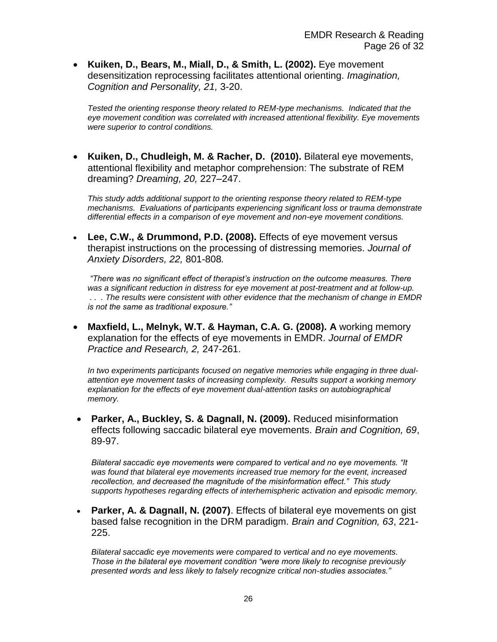**Kuiken, D., Bears, M., Miall, D., & Smith, L. (2002).** Eye movement desensitization reprocessing facilitates attentional orienting. *Imagination, Cognition and Personality, 21,* 3-20.

*Tested the orienting response theory related to REM-type mechanisms. Indicated that the eye movement condition was correlated with increased attentional flexibility. Eye movements were superior to control conditions.*

 **Kuiken, D., Chudleigh, M. & Racher, D. (2010).** Bilateral eye movements, attentional flexibility and metaphor comprehension: The substrate of REM dreaming? *Dreaming, 20,* 227–247.

*This study adds additional support to the orienting response theory related to REM-type mechanisms. Evaluations of participants experiencing significant loss or trauma demonstrate differential effects in a comparison of eye movement and non-eye movement conditions.*

 **Lee, C.W., & Drummond, P.D. (2008).** Effects of eye movement versus therapist instructions on the processing of distressing memories. *Journal of Anxiety Disorders, 22,* 801-808*.* 

*"There was no significant effect of therapist's instruction on the outcome measures. There was a significant reduction in distress for eye movement at post-treatment and at follow-up. . . . The results were consistent with other evidence that the mechanism of change in EMDR is not the same as traditional exposure."*

 **Maxfield, L., Melnyk, W.T. & Hayman, C.A. G. (2008). A** working memory explanation for the effects of eye movements in EMDR. *Journal of EMDR Practice and Research, 2,* 247-261.

*In two experiments participants focused on negative memories while engaging in three dualattention eye movement tasks of increasing complexity. Results support a working memory explanation for the effects of eye movement dual-attention tasks on autobiographical memory.*

 **Parker, A., Buckley, S. & Dagnall, N. (2009).** Reduced misinformation effects following saccadic bilateral eye movements. *Brain and Cognition, 69*, 89-97.

*Bilateral saccadic eye movements were compared to vertical and no eye movements. "It was found that bilateral eye movements increased true memory for the event, increased recollection, and decreased the magnitude of the misinformation effect." This study supports hypotheses regarding effects of interhemispheric activation and episodic memory.*

 **Parker, A. & Dagnall, N. (2007)**. Effects of bilateral eye movements on gist based false recognition in the DRM paradigm. *Brain and Cognition, 63*, 221- 225.

*Bilateral saccadic eye movements were compared to vertical and no eye movements. Those in the bilateral eye movement condition "were more likely to recognise previously presented words and less likely to falsely recognize critical non-studies associates."*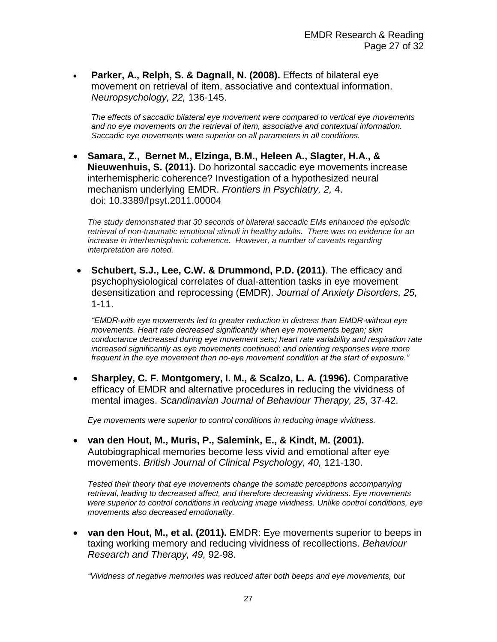**Parker, A., Relph, S. & Dagnall, N. (2008).** Effects of bilateral eye movement on retrieval of item, associative and contextual information. *Neuropsychology, 22,* 136-145.

*The effects of saccadic bilateral eye movement were compared to vertical eye movements and no eye movements on the retrieval of item, associative and contextual information. Saccadic eye movements were superior on all parameters in all conditions.*

 **Samara, Z., Bernet M., Elzinga, B.M., Heleen A., Slagter, H.A., & Nieuwenhuis, S. (2011).** Do horizontal saccadic eye movements increase interhemispheric coherence? Investigation of a hypothesized neural mechanism underlying EMDR. *Frontiers in Psychiatry, 2,* 4. doi: 10.3389/fpsyt.2011.00004

*The study demonstrated that 30 seconds of bilateral saccadic EMs enhanced the episodic retrieval of non-traumatic emotional stimuli in healthy adults. There was no evidence for an increase in interhemispheric coherence. However, a number of caveats regarding interpretation are noted.*

 **Schubert, S.J., Lee, C.W. & Drummond, P.D. (2011)**. The efficacy and psychophysiological correlates of dual-attention tasks in eye movement desensitization and reprocessing (EMDR). *Journal of Anxiety Disorders, 25,* 1-11.

*"EMDR-with eye movements led to greater reduction in distress than EMDR-without eye movements. Heart rate decreased significantly when eye movements began; skin conductance decreased during eye movement sets; heart rate variability and respiration rate increased significantly as eye movements continued; and orienting responses were more frequent in the eye movement than no-eye movement condition at the start of exposure."*

 **Sharpley, C. F. Montgomery, I. M., & Scalzo, L. A. (1996).** Comparative efficacy of EMDR and alternative procedures in reducing the vividness of mental images. *Scandinavian Journal of Behaviour Therapy, 25*, 37-42.

*Eye movements were superior to control conditions in reducing image vividness.*

 **van den Hout, M., Muris, P., Salemink, E., & Kindt, M. (2001).** Autobiographical memories become less vivid and emotional after eye movements. *British Journal of Clinical Psychology, 40,* 121-130.

*Tested their theory that eye movements change the somatic perceptions accompanying retrieval, leading to decreased affect, and therefore decreasing vividness. Eye movements were superior to control conditions in reducing image vividness. Unlike control conditions, eye movements also decreased emotionality.* 

 **van den Hout, M., et al. (2011).** EMDR: Eye movements superior to beeps in taxing working memory and reducing vividness of recollections. *Behaviour Research and Therapy, 49,* 92-98.

*"Vividness of negative memories was reduced after both beeps and eye movements, but*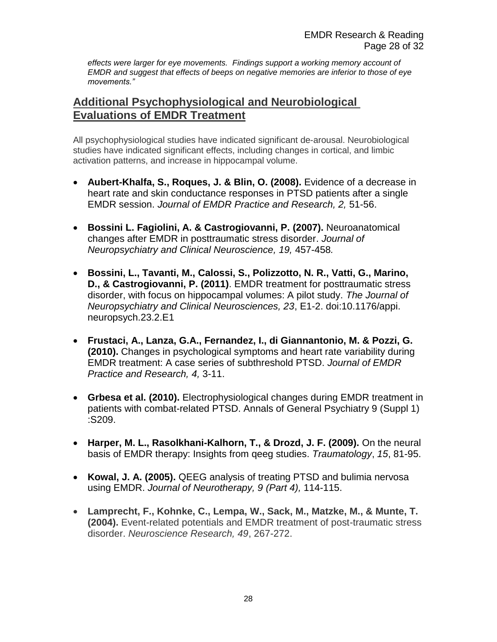*effects were larger for eye movements. Findings support a working memory account of EMDR and suggest that effects of beeps on negative memories are inferior to those of eye movements."*

# **Additional Psychophysiological and Neurobiological Evaluations of EMDR Treatment**

All psychophysiological studies have indicated significant de-arousal. Neurobiological studies have indicated significant effects, including changes in cortical, and limbic activation patterns, and increase in hippocampal volume.

- **Aubert-Khalfa, S., Roques, J. & Blin, O. (2008).** Evidence of a decrease in heart rate and skin conductance responses in PTSD patients after a single EMDR session. *Journal of EMDR Practice and Research, 2,* 51-56.
- **Bossini L. Fagiolini, A. & Castrogiovanni, P. (2007).** Neuroanatomical changes after EMDR in posttraumatic stress disorder. *Journal of Neuropsychiatry and Clinical Neuroscience, 19,* 457-458*.*
- **Bossini, L., Tavanti, M., Calossi, S., Polizzotto, N. R., Vatti, G., Marino, D., & Castrogiovanni, P. (2011)**. EMDR treatment for posttraumatic stress disorder, with focus on hippocampal volumes: A pilot study. *The Journal of Neuropsychiatry and Clinical Neurosciences, 23*, E1-2. doi:10.1176/appi. neuropsych.23.2.E1
- **Frustaci, A., Lanza, G.A., Fernandez, I., di Giannantonio, M. & Pozzi, G. (2010).** Changes in psychological symptoms and heart rate variability during EMDR treatment: A case series of subthreshold PTSD. *Journal of EMDR Practice and Research, 4,* 3-11.
- **Grbesa et al. (2010).** Electrophysiological changes during EMDR treatment in patients with combat-related PTSD. Annals of General Psychiatry 9 (Suppl 1) :S209.
- **Harper, M. L., Rasolkhani-Kalhorn, T., & Drozd, J. F. (2009).** On the neural basis of EMDR therapy: Insights from qeeg studies. *Traumatology*, *15*, 81-95.
- **Kowal, J. A. (2005).** QEEG analysis of treating PTSD and bulimia nervosa using EMDR. *Journal of Neurotherapy, 9 (Part 4),* 114-115.
- **Lamprecht, F., Kohnke, C., Lempa, W., Sack, M., Matzke, M., & Munte, T. (2004).** Event-related potentials and EMDR treatment of post-traumatic stress disorder. *Neuroscience Research, 49*, 267-272.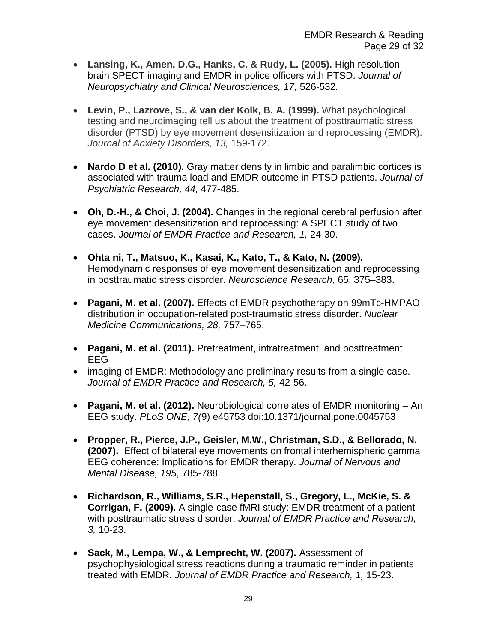- **Lansing, K., Amen, D.G., Hanks, C. & Rudy, L. (2005).** High resolution brain SPECT imaging and EMDR in police officers with PTSD. *Journal of Neuropsychiatry and Clinical Neurosciences, 17,* 526-532*.*
- **Levin, P., Lazrove, S., & van der Kolk, B. A. (1999).** What psychological testing and neuroimaging tell us about the treatment of posttraumatic stress disorder (PTSD) by eye movement desensitization and reprocessing (EMDR). *Journal of Anxiety Disorders, 13,* 159-172.
- **Nardo D et al. (2010).** Gray matter density in limbic and paralimbic cortices is associated with trauma load and EMDR outcome in PTSD patients. *Journal of Psychiatric Research, 44,* 477-485.
- **Oh, D.-H., & Choi, J. (2004).** Changes in the regional cerebral perfusion after eye movement desensitization and reprocessing: A SPECT study of two cases. *Journal of EMDR Practice and Research, 1,* 24-30.
- **Ohta ni, T., Matsuo, K., Kasai, K., Kato, T., & Kato, N. (2009).** Hemodynamic responses of eye movement desensitization and reprocessing in posttraumatic stress disorder. *Neuroscience Research*, 65, 375–383.
- **Pagani, M. et al. (2007).** Effects of EMDR psychotherapy on 99mTc-HMPAO distribution in occupation-related post-traumatic stress disorder. *Nuclear Medicine Communications, 28,* 757–765.
- **Pagani, M. et al. (2011).** Pretreatment, intratreatment, and posttreatment EEG
- imaging of EMDR: Methodology and preliminary results from a single case. *Journal of EMDR Practice and Research, 5,* 42-56.
- **Pagani, M. et al. (2012).** Neurobiological correlates of EMDR monitoring An EEG study. *PLoS ONE, 7(*9) e45753 doi:10.1371/journal.pone.0045753
- **Propper, R., Pierce, J.P., Geisler, M.W., Christman, S.D., & Bellorado, N. (2007).** Effect of bilateral eye movements on frontal interhemispheric gamma EEG coherence: Implications for EMDR therapy. *Journal of Nervous and Mental Disease, 195*, 785-788.
- **Richardson, R., Williams, S.R., Hepenstall, S., Gregory, L., McKie, S. & Corrigan, F. (2009).** A single-case fMRI study: EMDR treatment of a patient with posttraumatic stress disorder. *Journal of EMDR Practice and Research, 3,* 10-23.
- **Sack, M., Lempa, W., & Lemprecht, W. (2007).** Assessment of psychophysiological stress reactions during a traumatic reminder in patients treated with EMDR. *Journal of EMDR Practice and Research, 1,* 15-23.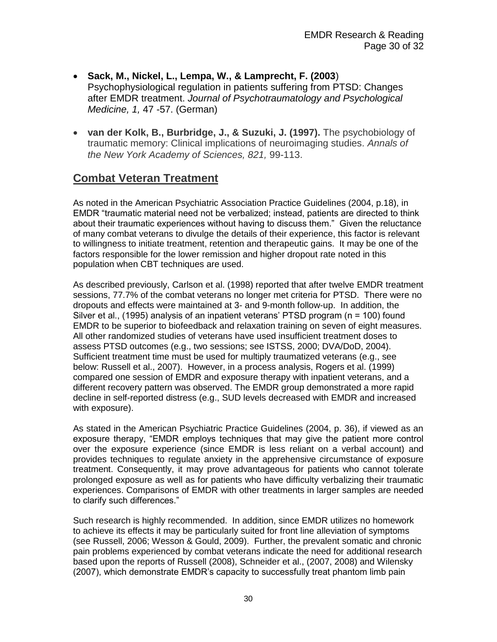- **Sack, M., Nickel, L., Lempa, W., & Lamprecht, F. (2003**) Psychophysiological regulation in patients suffering from PTSD: Changes after EMDR treatment. *Journal of Psychotraumatology and Psychological Medicine, 1,* 47 -57. (German)
- **van der Kolk, B., Burbridge, J., & Suzuki, J. (1997).** The psychobiology of traumatic memory: Clinical implications of neuroimaging studies. *Annals of the New York Academy of Sciences, 821,* 99-113.

# **Combat Veteran Treatment**

As noted in the American Psychiatric Association Practice Guidelines (2004, p.18), in EMDR "traumatic material need not be verbalized; instead, patients are directed to think about their traumatic experiences without having to discuss them." Given the reluctance of many combat veterans to divulge the details of their experience, this factor is relevant to willingness to initiate treatment, retention and therapeutic gains. It may be one of the factors responsible for the lower remission and higher dropout rate noted in this population when CBT techniques are used.

As described previously, Carlson et al. (1998) reported that after twelve EMDR treatment sessions, 77.7% of the combat veterans no longer met criteria for PTSD. There were no dropouts and effects were maintained at 3- and 9-month follow-up. In addition, the Silver et al., (1995) analysis of an inpatient veterans' PTSD program (n = 100) found EMDR to be superior to biofeedback and relaxation training on seven of eight measures. All other randomized studies of veterans have used insufficient treatment doses to assess PTSD outcomes (e.g., two sessions; see ISTSS, 2000; DVA/DoD, 2004). Sufficient treatment time must be used for multiply traumatized veterans (e.g., see below: Russell et al., 2007). However, in a process analysis, Rogers et al. (1999) compared one session of EMDR and exposure therapy with inpatient veterans, and a different recovery pattern was observed. The EMDR group demonstrated a more rapid decline in self-reported distress (e.g., SUD levels decreased with EMDR and increased with exposure).

As stated in the American Psychiatric Practice Guidelines (2004, p. 36), if viewed as an exposure therapy, "EMDR employs techniques that may give the patient more control over the exposure experience (since EMDR is less reliant on a verbal account) and provides techniques to regulate anxiety in the apprehensive circumstance of exposure treatment. Consequently, it may prove advantageous for patients who cannot tolerate prolonged exposure as well as for patients who have difficulty verbalizing their traumatic experiences. Comparisons of EMDR with other treatments in larger samples are needed to clarify such differences."

Such research is highly recommended. In addition, since EMDR utilizes no homework to achieve its effects it may be particularly suited for front line alleviation of symptoms (see Russell, 2006; Wesson & Gould, 2009). Further, the prevalent somatic and chronic pain problems experienced by combat veterans indicate the need for additional research based upon the reports of Russell (2008), Schneider et al., (2007, 2008) and Wilensky (2007), which demonstrate EMDR's capacity to successfully treat phantom limb pain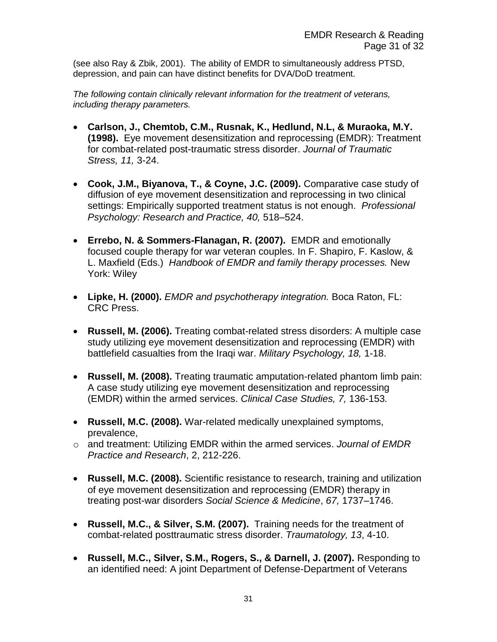(see also Ray & Zbik, 2001). The ability of EMDR to simultaneously address PTSD, depression, and pain can have distinct benefits for DVA/DoD treatment.

*The following contain clinically relevant information for the treatment of veterans, including therapy parameters.*

- **Carlson, J., Chemtob, C.M., Rusnak, K., Hedlund, N.L, & Muraoka, M.Y. (1998).** Eye movement desensitization and reprocessing (EMDR): Treatment for combat-related post-traumatic stress disorder. *Journal of Traumatic Stress, 11,* 3-24.
- **Cook, J.M., Biyanova, T., & Coyne, J.C. (2009).** Comparative case study of diffusion of eye movement desensitization and reprocessing in two clinical settings: Empirically supported treatment status is not enough. *Professional Psychology: Research and Practice, 40,* 518–524.
- **Errebo, N. & Sommers-Flanagan, R. (2007).** EMDR and emotionally focused couple therapy for war veteran couples. In F. Shapiro, F. Kaslow, & L. Maxfield (Eds.) *Handbook of EMDR and family therapy processes.* New York: Wiley
- **Lipke, H. (2000).** *EMDR and psychotherapy integration.* Boca Raton, FL: CRC Press.
- **Russell, M. (2006).** Treating combat-related stress disorders: A multiple case study utilizing eye movement desensitization and reprocessing (EMDR) with battlefield casualties from the Iraqi war. *Military Psychology, 18,* 1-18.
- **Russell, M. (2008).** Treating traumatic amputation-related phantom limb pain: A case study utilizing eye movement desensitization and reprocessing (EMDR) within the armed services. *Clinical Case Studies, 7,* 136-153*.*
- **Russell, M.C. (2008).** War-related medically unexplained symptoms, prevalence,
- o and treatment: Utilizing EMDR within the armed services. *Journal of EMDR Practice and Research*, 2, 212-226.
- **Russell, M.C. (2008).** Scientific resistance to research, training and utilization of eye movement desensitization and reprocessing (EMDR) therapy in treating post-war disorders *Social Science & Medicine*, *67,* 1737–1746.
- **Russell, M.C., & Silver, S.M. (2007).** Training needs for the treatment of combat-related posttraumatic stress disorder. *Traumatology, 13*, 4-10.
- **Russell, M.C., Silver, S.M., Rogers, S., & Darnell, J. (2007).** Responding to an identified need: A joint Department of Defense-Department of Veterans